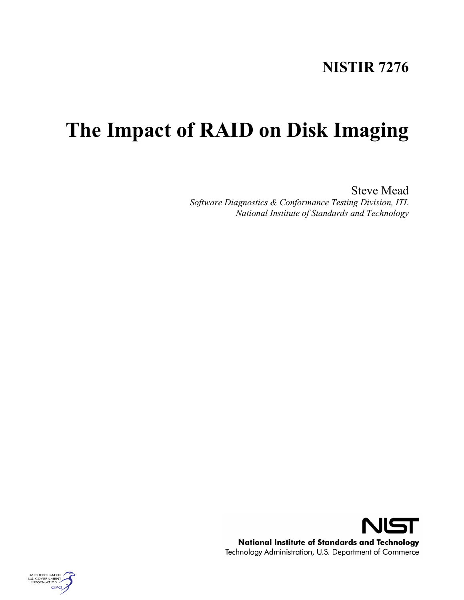## **NISTIR 7276**

# **The Impact of RAID on Disk Imaging**

Steve Mead *Software Diagnostics & Conformance Testing Division, ITL National Institute of Standards and Technology*



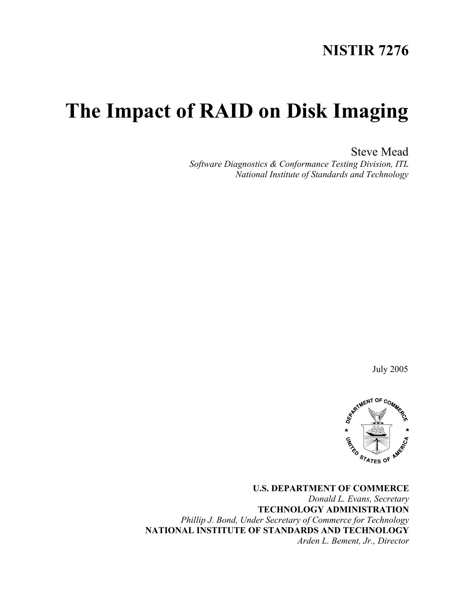## **NISTIR 7276**

# **The Impact of RAID on Disk Imaging**

Steve Mead

*Software Diagnostics & Conformance Testing Division, ITL National Institute of Standards and Technology*

July 2005



**U.S. DEPARTMENT OF COMMERCE** *Donald L. Evans, Secretary* **TECHNOLOGY ADMINISTRATION** *Phillip J. Bond, Under Secretary of Commerce for Technology* **NATIONAL INSTITUTE OF STANDARDS AND TECHNOLOGY** *Arden L. Bement, Jr., Director*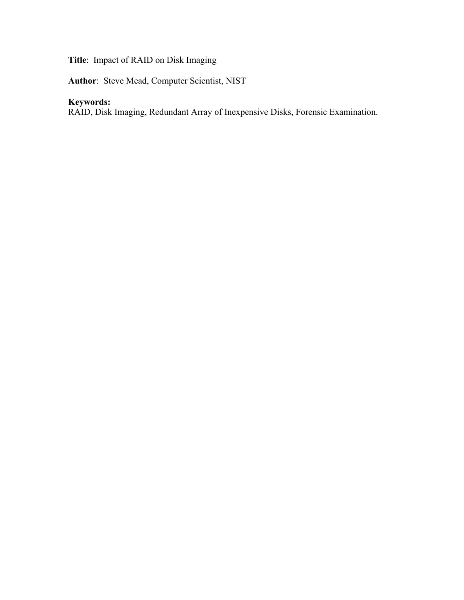## **Title**: Impact of RAID on Disk Imaging

**Author**: Steve Mead, Computer Scientist, NIST

## **Keywords:**

RAID, Disk Imaging, Redundant Array of Inexpensive Disks, Forensic Examination.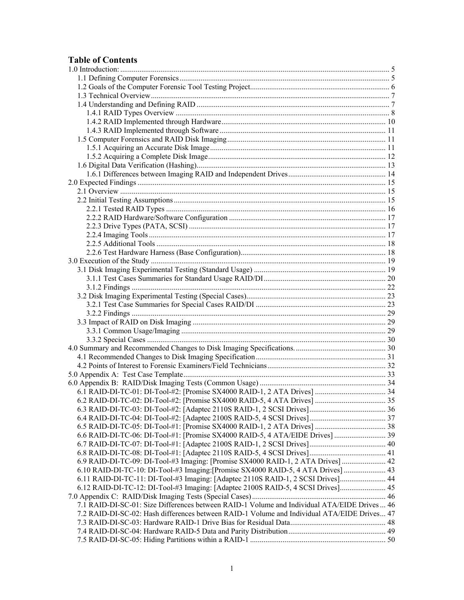## **Table of Contents**

| 6.9 RAID-DI-TC-09: DI-Tool-#3 Imaging: [Promise SX4000 RAID-1, 2 ATA Drives]  42            |  |
|---------------------------------------------------------------------------------------------|--|
| 6.10 RAID-DI-TC-10: DI-Tool-#3 Imaging: [Promise SX4000 RAID-5, 4 ATA Drives]  43           |  |
| 6.11 RAID-DI-TC-11: DI-Tool-#3 Imaging: [Adaptec 2110S RAID-1, 2 SCSI Drives] 44            |  |
| 6.12 RAID-DI-TC-12: DI-Tool-#3 Imaging: [Adaptec 2100S RAID-5, 4 SCSI Drives] 45            |  |
|                                                                                             |  |
| 7.1 RAID-DI-SC-01: Size Differences between RAID-1 Volume and Individual ATA/EIDE Drives 46 |  |
| 7.2 RAID-DI-SC-02: Hash differences between RAID-1 Volume and Individual ATA/EIDE Drives 47 |  |
|                                                                                             |  |
|                                                                                             |  |
|                                                                                             |  |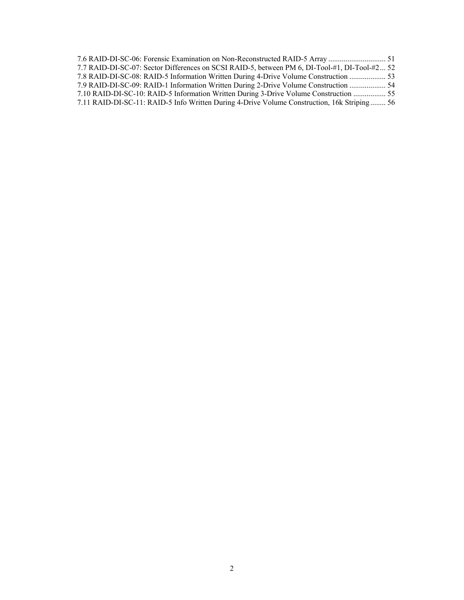| 7.7 RAID-DI-SC-07: Sector Differences on SCSI RAID-5, between PM 6, DI-Tool-#1, DI-Tool-#2 52 |  |
|-----------------------------------------------------------------------------------------------|--|
| 7.8 RAID-DI-SC-08: RAID-5 Information Written During 4-Drive Volume Construction  53          |  |
| 7.9 RAID-DI-SC-09: RAID-1 Information Written During 2-Drive Volume Construction  54          |  |
| 7.10 RAID-DI-SC-10: RAID-5 Information Written During 3-Drive Volume Construction  55         |  |
| 7.11 RAID-DI-SC-11: RAID-5 Info Written During 4-Drive Volume Construction, 16k Striping 56   |  |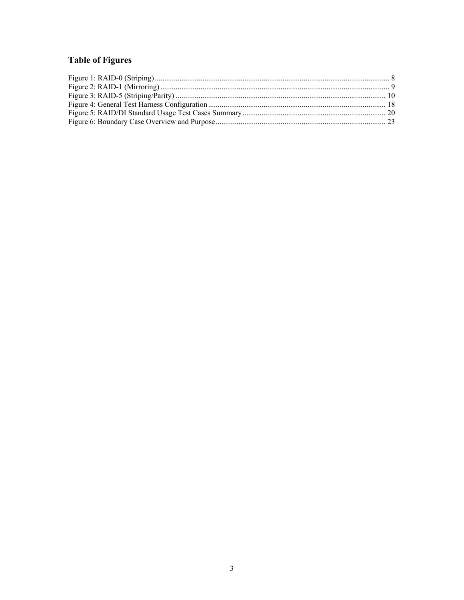## **Table of Figures**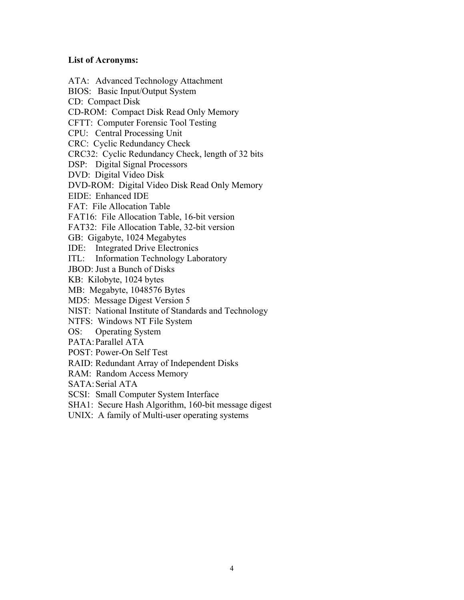#### **List of Acronyms:**

ATA: Advanced Technology Attachment BIOS: Basic Input/Output System CD: Compact Disk CD-ROM: Compact Disk Read Only Memory CFTT: Computer Forensic Tool Testing CPU: Central Processing Unit CRC: Cyclic Redundancy Check CRC32: Cyclic Redundancy Check, length of 32 bits DSP: Digital Signal Processors DVD: Digital Video Disk DVD-ROM: Digital Video Disk Read Only Memory EIDE: Enhanced IDE FAT: File Allocation Table FAT16: File Allocation Table, 16-bit version FAT32: File Allocation Table, 32-bit version GB: Gigabyte, 1024 Megabytes IDE: Integrated Drive Electronics ITL: Information Technology Laboratory JBOD: Just a Bunch of Disks KB: Kilobyte, 1024 bytes MB: Megabyte, 1048576 Bytes MD5: Message Digest Version 5 NIST: National Institute of Standards and Technology NTFS: Windows NT File System OS: Operating System PATA: Parallel ATA POST: Power-On Self Test RAID: Redundant Array of Independent Disks RAM: Random Access Memory SATA: Serial ATA SCSI: Small Computer System Interface SHA1: Secure Hash Algorithm, 160-bit message digest UNIX: A family of Multi-user operating systems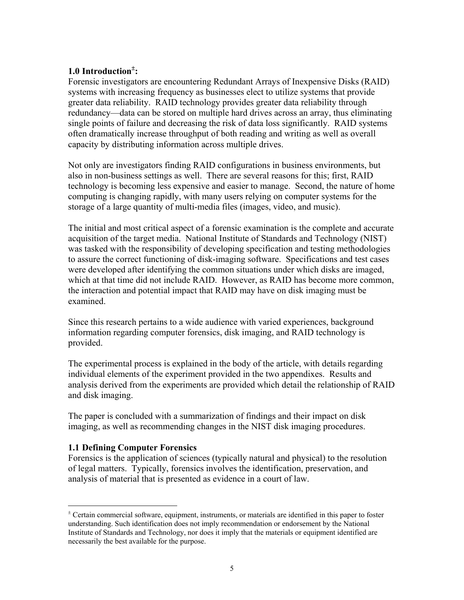## **1.0 Introduction**<sup>±</sup> **:**

Forensic investigators are encountering Redundant Arrays of Inexpensive Disks (RAID) systems with increasing frequency as businesses elect to utilize systems that provide greater data reliability. RAID technology provides greater data reliability through redundancy—data can be stored on multiple hard drives across an array, thus eliminating single points of failure and decreasing the risk of data loss significantly. RAID systems often dramatically increase throughput of both reading and writing as well as overall capacity by distributing information across multiple drives.

Not only are investigators finding RAID configurations in business environments, but also in non-business settings as well. There are several reasons for this; first, RAID technology is becoming less expensive and easier to manage. Second, the nature of home computing is changing rapidly, with many users relying on computer systems for the storage of a large quantity of multi-media files (images, video, and music).

The initial and most critical aspect of a forensic examination is the complete and accurate acquisition of the target media. National Institute of Standards and Technology (NIST) was tasked with the responsibility of developing specification and testing methodologies to assure the correct functioning of disk-imaging software. Specifications and test cases were developed after identifying the common situations under which disks are imaged, which at that time did not include RAID. However, as RAID has become more common, the interaction and potential impact that RAID may have on disk imaging must be examined.

Since this research pertains to a wide audience with varied experiences, background information regarding computer forensics, disk imaging, and RAID technology is provided.

The experimental process is explained in the body of the article, with details regarding individual elements of the experiment provided in the two appendixes. Results and analysis derived from the experiments are provided which detail the relationship of RAID and disk imaging.

The paper is concluded with a summarization of findings and their impact on disk imaging, as well as recommending changes in the NIST disk imaging procedures.

#### **1.1 Defining Computer Forensics**

<u>.</u>

Forensics is the application of sciences (typically natural and physical) to the resolution of legal matters. Typically, forensics involves the identification, preservation, and analysis of material that is presented as evidence in a court of law.

<sup>±</sup> Certain commercial software, equipment, instruments, or materials are identified in this paper to foster understanding. Such identification does not imply recommendation or endorsement by the National Institute of Standards and Technology, nor does it imply that the materials or equipment identified are necessarily the best available for the purpose.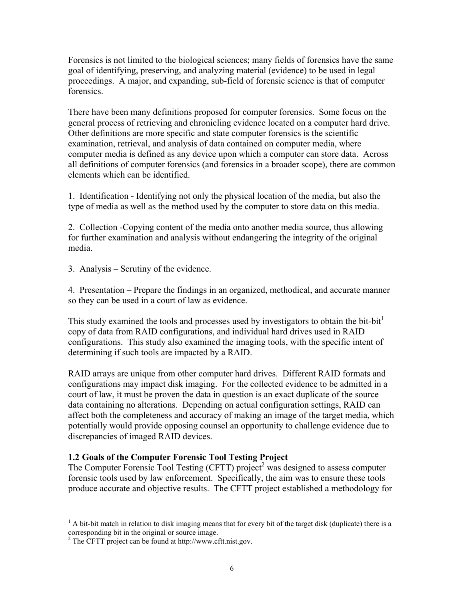Forensics is not limited to the biological sciences; many fields of forensics have the same goal of identifying, preserving, and analyzing material (evidence) to be used in legal proceedings. A major, and expanding, sub-field of forensic science is that of computer forensics.

There have been many definitions proposed for computer forensics. Some focus on the general process of retrieving and chronicling evidence located on a computer hard drive. Other definitions are more specific and state computer forensics is the scientific examination, retrieval, and analysis of data contained on computer media, where computer media is defined as any device upon which a computer can store data. Across all definitions of computer forensics (and forensics in a broader scope), there are common elements which can be identified.

1. Identification - Identifying not only the physical location of the media, but also the type of media as well as the method used by the computer to store data on this media.

2. Collection -Copying content of the media onto another media source, thus allowing for further examination and analysis without endangering the integrity of the original media.

3. Analysis – Scrutiny of the evidence.

4. Presentation – Prepare the findings in an organized, methodical, and accurate manner so they can be used in a court of law as evidence.

This study examined the tools and processes used by investigators to obtain the bit-bit<sup>1</sup> copy of data from RAID configurations, and individual hard drives used in RAID configurations. This study also examined the imaging tools, with the specific intent of determining if such tools are impacted by a RAID.

RAID arrays are unique from other computer hard drives. Different RAID formats and configurations may impact disk imaging. For the collected evidence to be admitted in a court of law, it must be proven the data in question is an exact duplicate of the source data containing no alterations. Depending on actual configuration settings, RAID can affect both the completeness and accuracy of making an image of the target media, which potentially would provide opposing counsel an opportunity to challenge evidence due to discrepancies of imaged RAID devices.

#### **1.2 Goals of the Computer Forensic Tool Testing Project**

The Computer Forensic Tool Testing (CFTT) project<sup>2</sup> was designed to assess computer forensic tools used by law enforcement. Specifically, the aim was to ensure these tools produce accurate and objective results. The CFTT project established a methodology for

1

 $<sup>1</sup>$  A bit-bit match in relation to disk imaging means that for every bit of the target disk (duplicate) there is a</sup>

corresponding bit in the original or source image. 2 The CFTT project can be found at http://www.cftt.nist.gov.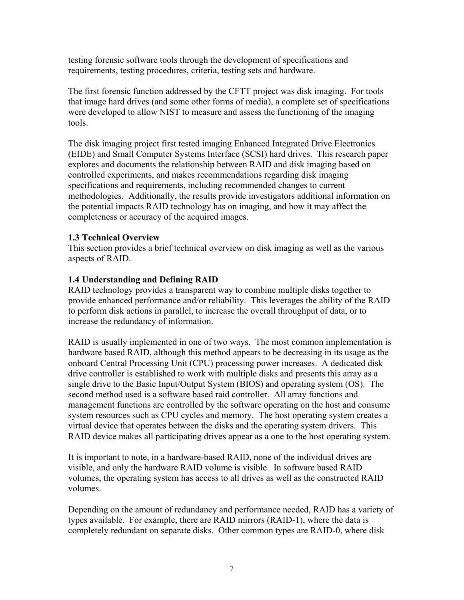testing forensic software tools through the development of specifications and requirements, testing procedures, criteria, testing sets and hardware.

The first forensic function addressed by the CFTT project was disk imaging. For tools that image hard drives (and some other forms of media), a complete set of specifications were developed to allow NIST to measure and assess the functioning of the imaging tools.

The disk imaging project first tested imaging Enhanced Integrated Drive Electronics (EIDE) and Small Computer Systems Interface (SCSI) hard drives. This research paper explores and documents the relationship between RAID and disk imaging based on controlled experiments, and makes recommendations regarding disk imaging specifications and requirements, including recommended changes to current methodologies. Additionally, the results provide investigators additional information on the potential impacts RAID technology has on imaging, and how it may affect the completeness or accuracy of the acquired images.

#### **1.3 Technical Overview**

This section provides a brief technical overview on disk imaging as well as the various aspects of RAID.

#### **1.4 Understanding and Defining RAID**

RAID technology provides a transparent way to combine multiple disks together to provide enhanced performance and/or reliability. This leverages the ability of the RAID to perform disk actions in parallel, to increase the overall throughput of data, or to increase the redundancy of information.

RAID is usually implemented in one of two ways. The most common implementation is hardware based RAID, although this method appears to be decreasing in its usage as the onboard Central Processing Unit (CPU) processing power increases. A dedicated disk drive controller is established to work with multiple disks and presents this array as a single drive to the Basic Input/Output System (BIOS) and operating system (OS). The second method used is a software based raid controller. All array functions and management functions are controlled by the software operating on the host and consume system resources such as CPU cycles and memory. The host operating system creates a virtual device that operates between the disks and the operating system drivers. This RAID device makes all participating drives appear as a one to the host operating system.

It is important to note, in a hardware-based RAID, none of the individual drives are visible, and only the hardware RAID volume is visible. In software based RAID volumes, the operating system has access to all drives as well as the constructed RAID volumes.

Depending on the amount of redundancy and performance needed, RAID has a variety of types available. For example, there are RAID mirrors (RAID-1), where the data is completely redundant on separate disks. Other common types are RAID-0, where disk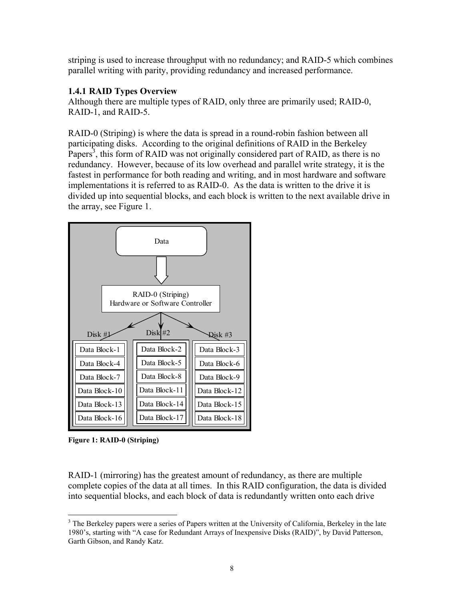striping is used to increase throughput with no redundancy; and RAID-5 which combines parallel writing with parity, providing redundancy and increased performance.

#### **1.4.1 RAID Types Overview**

Although there are multiple types of RAID, only three are primarily used; RAID-0, RAID-1, and RAID-5.

RAID-0 (Striping) is where the data is spread in a round-robin fashion between all participating disks. According to the original definitions of RAID in the Berkeley Papers<sup>3</sup>, this form of RAID was not originally considered part of RAID, as there is no redundancy. However, because of its low overhead and parallel write strategy, it is the fastest in performance for both reading and writing, and in most hardware and software implementations it is referred to as RAID-0. As the data is written to the drive it is divided up into sequential blocks, and each block is written to the next available drive in the array, see Figure 1.



**Figure 1: RAID-0 (Striping)** 

RAID-1 (mirroring) has the greatest amount of redundancy, as there are multiple complete copies of the data at all times. In this RAID configuration, the data is divided into sequential blocks, and each block of data is redundantly written onto each drive

 $\overline{a}$ <sup>3</sup> The Berkeley papers were a series of Papers written at the University of California, Berkeley in the late 1980's, starting with "A case for Redundant Arrays of Inexpensive Disks (RAID)", by David Patterson, Garth Gibson, and Randy Katz.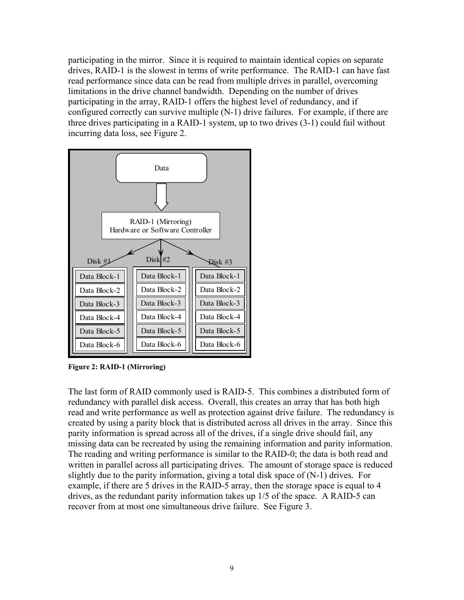participating in the mirror. Since it is required to maintain identical copies on separate drives, RAID-1 is the slowest in terms of write performance. The RAID-1 can have fast read performance since data can be read from multiple drives in parallel, overcoming limitations in the drive channel bandwidth. Depending on the number of drives participating in the array, RAID-1 offers the highest level of redundancy, and if configured correctly can survive multiple (N-1) drive failures. For example, if there are three drives participating in a RAID-1 system, up to two drives (3-1) could fail without incurring data loss, see Figure 2.



**Figure 2: RAID-1 (Mirroring)** 

The last form of RAID commonly used is RAID-5. This combines a distributed form of redundancy with parallel disk access. Overall, this creates an array that has both high read and write performance as well as protection against drive failure. The redundancy is created by using a parity block that is distributed across all drives in the array. Since this parity information is spread across all of the drives, if a single drive should fail, any missing data can be recreated by using the remaining information and parity information. The reading and writing performance is similar to the RAID-0; the data is both read and written in parallel across all participating drives. The amount of storage space is reduced slightly due to the parity information, giving a total disk space of (N-1) drives. For example, if there are 5 drives in the RAID-5 array, then the storage space is equal to 4 drives, as the redundant parity information takes up 1/5 of the space. A RAID-5 can recover from at most one simultaneous drive failure. See Figure 3.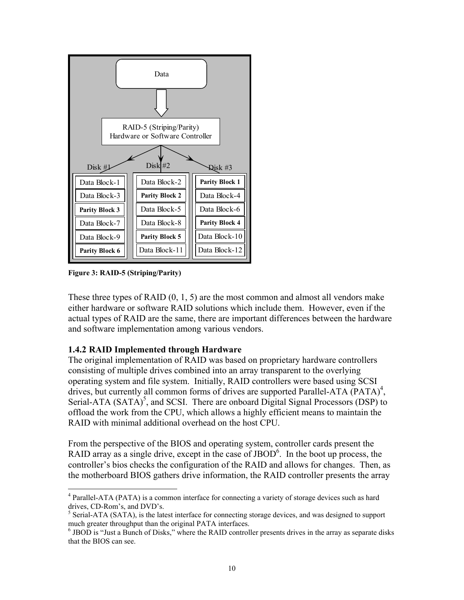

**Figure 3: RAID-5 (Striping/Parity)** 

 $\overline{a}$ 

These three types of RAID  $(0, 1, 5)$  are the most common and almost all vendors make either hardware or software RAID solutions which include them. However, even if the actual types of RAID are the same, there are important differences between the hardware and software implementation among various vendors.

#### **1.4.2 RAID Implemented through Hardware**

The original implementation of RAID was based on proprietary hardware controllers consisting of multiple drives combined into an array transparent to the overlying operating system and file system. Initially, RAID controllers were based using SCSI drives, but currently all common forms of drives are supported Parallel-ATA (PATA)<sup>4</sup>, Serial-ATA  $(SATA)^5$ , and SCSI. There are onboard Digital Signal Processors (DSP) to offload the work from the CPU, which allows a highly efficient means to maintain the RAID with minimal additional overhead on the host CPU.

From the perspective of the BIOS and operating system, controller cards present the RAID array as a single drive, except in the case of  $JBOD<sup>6</sup>$ . In the boot up process, the controller's bios checks the configuration of the RAID and allows for changes. Then, as the motherboard BIOS gathers drive information, the RAID controller presents the array

<sup>&</sup>lt;sup>4</sup> Parallel-ATA (PATA) is a common interface for connecting a variety of storage devices such as hard drives, CD-Rom's, and DVD's.

 $<sup>5</sup>$  Serial-ATA (SATA), is the latest interface for connecting storage devices, and was designed to support</sup> much greater throughput than the original PATA interfaces.

 $<sup>6</sup>$  JBOD is "Just a Bunch of Disks," where the RAID controller presents drives in the array as separate disks</sup> that the BIOS can see.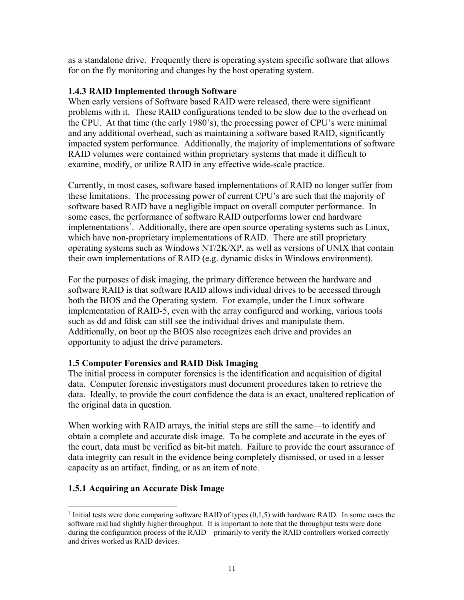as a standalone drive. Frequently there is operating system specific software that allows for on the fly monitoring and changes by the host operating system.

#### **1.4.3 RAID Implemented through Software**

When early versions of Software based RAID were released, there were significant problems with it. These RAID configurations tended to be slow due to the overhead on the CPU. At that time (the early 1980's), the processing power of CPU's were minimal and any additional overhead, such as maintaining a software based RAID, significantly impacted system performance. Additionally, the majority of implementations of software RAID volumes were contained within proprietary systems that made it difficult to examine, modify, or utilize RAID in any effective wide-scale practice.

Currently, in most cases, software based implementations of RAID no longer suffer from these limitations. The processing power of current CPU's are such that the majority of software based RAID have a negligible impact on overall computer performance. In some cases, the performance of software RAID outperforms lower end hardware implementations<sup>7</sup>. Additionally, there are open source operating systems such as Linux, which have non-proprietary implementations of RAID. There are still proprietary operating systems such as Windows NT/2K/XP, as well as versions of UNIX that contain their own implementations of RAID (e.g. dynamic disks in Windows environment).

For the purposes of disk imaging, the primary difference between the hardware and software RAID is that software RAID allows individual drives to be accessed through both the BIOS and the Operating system. For example, under the Linux software implementation of RAID-5, even with the array configured and working, various tools such as dd and fdisk can still see the individual drives and manipulate them. Additionally, on boot up the BIOS also recognizes each drive and provides an opportunity to adjust the drive parameters.

#### **1.5 Computer Forensics and RAID Disk Imaging**

The initial process in computer forensics is the identification and acquisition of digital data. Computer forensic investigators must document procedures taken to retrieve the data. Ideally, to provide the court confidence the data is an exact, unaltered replication of the original data in question.

When working with RAID arrays, the initial steps are still the same—to identify and obtain a complete and accurate disk image. To be complete and accurate in the eyes of the court, data must be verified as bit-bit match. Failure to provide the court assurance of data integrity can result in the evidence being completely dismissed, or used in a lesser capacity as an artifact, finding, or as an item of note.

#### **1.5.1 Acquiring an Accurate Disk Image**

 $\overline{a}$ 

<sup>&</sup>lt;sup>7</sup> Initial tests were done comparing software RAID of types  $(0,1,5)$  with hardware RAID. In some cases the software raid had slightly higher throughput. It is important to note that the throughput tests were done during the configuration process of the RAID—primarily to verify the RAID controllers worked correctly and drives worked as RAID devices.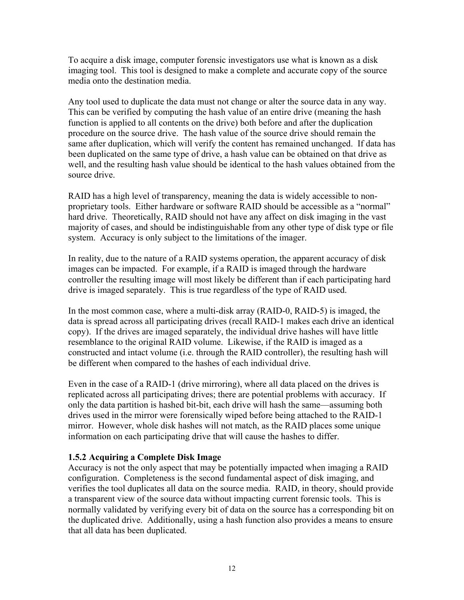To acquire a disk image, computer forensic investigators use what is known as a disk imaging tool. This tool is designed to make a complete and accurate copy of the source media onto the destination media.

Any tool used to duplicate the data must not change or alter the source data in any way. This can be verified by computing the hash value of an entire drive (meaning the hash function is applied to all contents on the drive) both before and after the duplication procedure on the source drive. The hash value of the source drive should remain the same after duplication, which will verify the content has remained unchanged. If data has been duplicated on the same type of drive, a hash value can be obtained on that drive as well, and the resulting hash value should be identical to the hash values obtained from the source drive.

RAID has a high level of transparency, meaning the data is widely accessible to nonproprietary tools. Either hardware or software RAID should be accessible as a "normal" hard drive. Theoretically, RAID should not have any affect on disk imaging in the vast majority of cases, and should be indistinguishable from any other type of disk type or file system. Accuracy is only subject to the limitations of the imager.

In reality, due to the nature of a RAID systems operation, the apparent accuracy of disk images can be impacted. For example, if a RAID is imaged through the hardware controller the resulting image will most likely be different than if each participating hard drive is imaged separately. This is true regardless of the type of RAID used.

In the most common case, where a multi-disk array (RAID-0, RAID-5) is imaged, the data is spread across all participating drives (recall RAID-1 makes each drive an identical copy). If the drives are imaged separately, the individual drive hashes will have little resemblance to the original RAID volume. Likewise, if the RAID is imaged as a constructed and intact volume (i.e. through the RAID controller), the resulting hash will be different when compared to the hashes of each individual drive.

Even in the case of a RAID-1 (drive mirroring), where all data placed on the drives is replicated across all participating drives; there are potential problems with accuracy. If only the data partition is hashed bit-bit, each drive will hash the same—assuming both drives used in the mirror were forensically wiped before being attached to the RAID-1 mirror. However, whole disk hashes will not match, as the RAID places some unique information on each participating drive that will cause the hashes to differ.

#### **1.5.2 Acquiring a Complete Disk Image**

Accuracy is not the only aspect that may be potentially impacted when imaging a RAID configuration. Completeness is the second fundamental aspect of disk imaging, and verifies the tool duplicates all data on the source media. RAID, in theory, should provide a transparent view of the source data without impacting current forensic tools. This is normally validated by verifying every bit of data on the source has a corresponding bit on the duplicated drive. Additionally, using a hash function also provides a means to ensure that all data has been duplicated.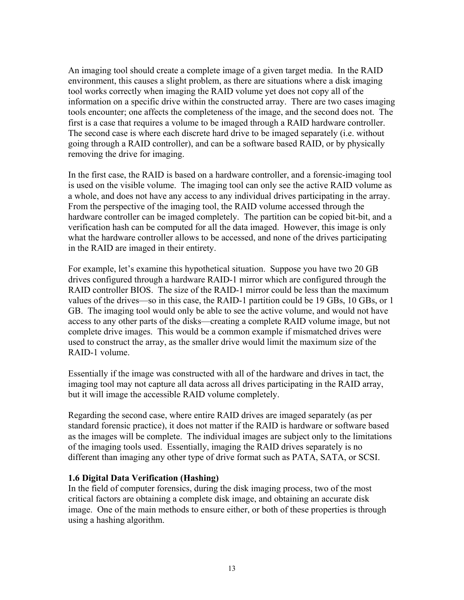An imaging tool should create a complete image of a given target media. In the RAID environment, this causes a slight problem, as there are situations where a disk imaging tool works correctly when imaging the RAID volume yet does not copy all of the information on a specific drive within the constructed array. There are two cases imaging tools encounter; one affects the completeness of the image, and the second does not. The first is a case that requires a volume to be imaged through a RAID hardware controller. The second case is where each discrete hard drive to be imaged separately (i.e. without going through a RAID controller), and can be a software based RAID, or by physically removing the drive for imaging.

In the first case, the RAID is based on a hardware controller, and a forensic-imaging tool is used on the visible volume. The imaging tool can only see the active RAID volume as a whole, and does not have any access to any individual drives participating in the array. From the perspective of the imaging tool, the RAID volume accessed through the hardware controller can be imaged completely. The partition can be copied bit-bit, and a verification hash can be computed for all the data imaged. However, this image is only what the hardware controller allows to be accessed, and none of the drives participating in the RAID are imaged in their entirety.

For example, let's examine this hypothetical situation. Suppose you have two 20 GB drives configured through a hardware RAID-1 mirror which are configured through the RAID controller BIOS. The size of the RAID-1 mirror could be less than the maximum values of the drives—so in this case, the RAID-1 partition could be 19 GBs, 10 GBs, or 1 GB. The imaging tool would only be able to see the active volume, and would not have access to any other parts of the disks—creating a complete RAID volume image, but not complete drive images. This would be a common example if mismatched drives were used to construct the array, as the smaller drive would limit the maximum size of the RAID-1 volume.

Essentially if the image was constructed with all of the hardware and drives in tact, the imaging tool may not capture all data across all drives participating in the RAID array, but it will image the accessible RAID volume completely.

Regarding the second case, where entire RAID drives are imaged separately (as per standard forensic practice), it does not matter if the RAID is hardware or software based as the images will be complete. The individual images are subject only to the limitations of the imaging tools used. Essentially, imaging the RAID drives separately is no different than imaging any other type of drive format such as PATA, SATA, or SCSI.

#### **1.6 Digital Data Verification (Hashing)**

In the field of computer forensics, during the disk imaging process, two of the most critical factors are obtaining a complete disk image, and obtaining an accurate disk image. One of the main methods to ensure either, or both of these properties is through using a hashing algorithm.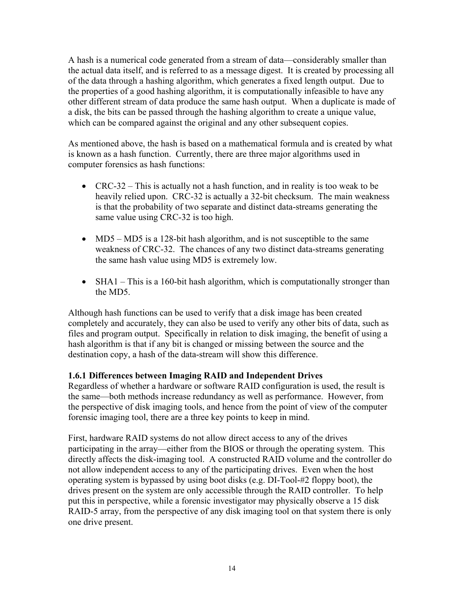A hash is a numerical code generated from a stream of data—considerably smaller than the actual data itself, and is referred to as a message digest. It is created by processing all of the data through a hashing algorithm, which generates a fixed length output. Due to the properties of a good hashing algorithm, it is computationally infeasible to have any other different stream of data produce the same hash output. When a duplicate is made of a disk, the bits can be passed through the hashing algorithm to create a unique value, which can be compared against the original and any other subsequent copies.

As mentioned above, the hash is based on a mathematical formula and is created by what is known as a hash function. Currently, there are three major algorithms used in computer forensics as hash functions:

- CRC-32 This is actually not a hash function, and in reality is too weak to be heavily relied upon. CRC-32 is actually a 32-bit checksum. The main weakness is that the probability of two separate and distinct data-streams generating the same value using CRC-32 is too high.
- MD5 MD5 is a 128-bit hash algorithm, and is not susceptible to the same weakness of CRC-32. The chances of any two distinct data-streams generating the same hash value using MD5 is extremely low.
- SHA1 This is a 160-bit hash algorithm, which is computationally stronger than the MD5.

Although hash functions can be used to verify that a disk image has been created completely and accurately, they can also be used to verify any other bits of data, such as files and program output. Specifically in relation to disk imaging, the benefit of using a hash algorithm is that if any bit is changed or missing between the source and the destination copy, a hash of the data-stream will show this difference.

#### **1.6.1 Differences between Imaging RAID and Independent Drives**

Regardless of whether a hardware or software RAID configuration is used, the result is the same—both methods increase redundancy as well as performance. However, from the perspective of disk imaging tools, and hence from the point of view of the computer forensic imaging tool, there are a three key points to keep in mind.

First, hardware RAID systems do not allow direct access to any of the drives participating in the array—either from the BIOS or through the operating system. This directly affects the disk-imaging tool. A constructed RAID volume and the controller do not allow independent access to any of the participating drives. Even when the host operating system is bypassed by using boot disks (e.g. DI-Tool-#2 floppy boot), the drives present on the system are only accessible through the RAID controller. To help put this in perspective, while a forensic investigator may physically observe a 15 disk RAID-5 array, from the perspective of any disk imaging tool on that system there is only one drive present.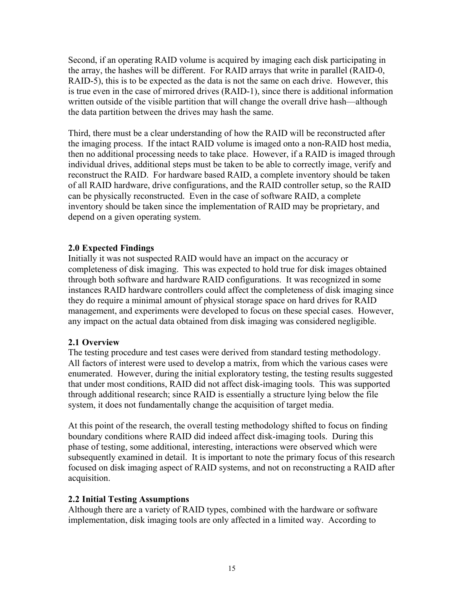Second, if an operating RAID volume is acquired by imaging each disk participating in the array, the hashes will be different. For RAID arrays that write in parallel (RAID-0, RAID-5), this is to be expected as the data is not the same on each drive. However, this is true even in the case of mirrored drives (RAID-1), since there is additional information written outside of the visible partition that will change the overall drive hash—although the data partition between the drives may hash the same.

Third, there must be a clear understanding of how the RAID will be reconstructed after the imaging process. If the intact RAID volume is imaged onto a non-RAID host media, then no additional processing needs to take place. However, if a RAID is imaged through individual drives, additional steps must be taken to be able to correctly image, verify and reconstruct the RAID. For hardware based RAID, a complete inventory should be taken of all RAID hardware, drive configurations, and the RAID controller setup, so the RAID can be physically reconstructed. Even in the case of software RAID, a complete inventory should be taken since the implementation of RAID may be proprietary, and depend on a given operating system.

#### **2.0 Expected Findings**

Initially it was not suspected RAID would have an impact on the accuracy or completeness of disk imaging. This was expected to hold true for disk images obtained through both software and hardware RAID configurations. It was recognized in some instances RAID hardware controllers could affect the completeness of disk imaging since they do require a minimal amount of physical storage space on hard drives for RAID management, and experiments were developed to focus on these special cases. However, any impact on the actual data obtained from disk imaging was considered negligible.

#### **2.1 Overview**

The testing procedure and test cases were derived from standard testing methodology. All factors of interest were used to develop a matrix, from which the various cases were enumerated. However, during the initial exploratory testing, the testing results suggested that under most conditions, RAID did not affect disk-imaging tools. This was supported through additional research; since RAID is essentially a structure lying below the file system, it does not fundamentally change the acquisition of target media.

At this point of the research, the overall testing methodology shifted to focus on finding boundary conditions where RAID did indeed affect disk-imaging tools. During this phase of testing, some additional, interesting, interactions were observed which were subsequently examined in detail. It is important to note the primary focus of this research focused on disk imaging aspect of RAID systems, and not on reconstructing a RAID after acquisition.

#### **2.2 Initial Testing Assumptions**

Although there are a variety of RAID types, combined with the hardware or software implementation, disk imaging tools are only affected in a limited way. According to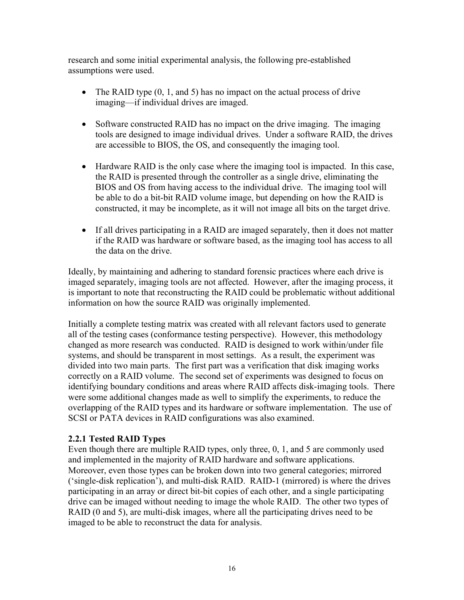research and some initial experimental analysis, the following pre-established assumptions were used.

- The RAID type  $(0, 1, \text{ and } 5)$  has no impact on the actual process of drive imaging—if individual drives are imaged.
- Software constructed RAID has no impact on the drive imaging. The imaging tools are designed to image individual drives. Under a software RAID, the drives are accessible to BIOS, the OS, and consequently the imaging tool.
- Hardware RAID is the only case where the imaging tool is impacted. In this case, the RAID is presented through the controller as a single drive, eliminating the BIOS and OS from having access to the individual drive. The imaging tool will be able to do a bit-bit RAID volume image, but depending on how the RAID is constructed, it may be incomplete, as it will not image all bits on the target drive.
- If all drives participating in a RAID are imaged separately, then it does not matter if the RAID was hardware or software based, as the imaging tool has access to all the data on the drive.

Ideally, by maintaining and adhering to standard forensic practices where each drive is imaged separately, imaging tools are not affected. However, after the imaging process, it is important to note that reconstructing the RAID could be problematic without additional information on how the source RAID was originally implemented.

Initially a complete testing matrix was created with all relevant factors used to generate all of the testing cases (conformance testing perspective). However, this methodology changed as more research was conducted. RAID is designed to work within/under file systems, and should be transparent in most settings. As a result, the experiment was divided into two main parts. The first part was a verification that disk imaging works correctly on a RAID volume. The second set of experiments was designed to focus on identifying boundary conditions and areas where RAID affects disk-imaging tools. There were some additional changes made as well to simplify the experiments, to reduce the overlapping of the RAID types and its hardware or software implementation. The use of SCSI or PATA devices in RAID configurations was also examined.

#### **2.2.1 Tested RAID Types**

Even though there are multiple RAID types, only three, 0, 1, and 5 are commonly used and implemented in the majority of RAID hardware and software applications. Moreover, even those types can be broken down into two general categories; mirrored ('single-disk replication'), and multi-disk RAID. RAID-1 (mirrored) is where the drives participating in an array or direct bit-bit copies of each other, and a single participating drive can be imaged without needing to image the whole RAID. The other two types of RAID (0 and 5), are multi-disk images, where all the participating drives need to be imaged to be able to reconstruct the data for analysis.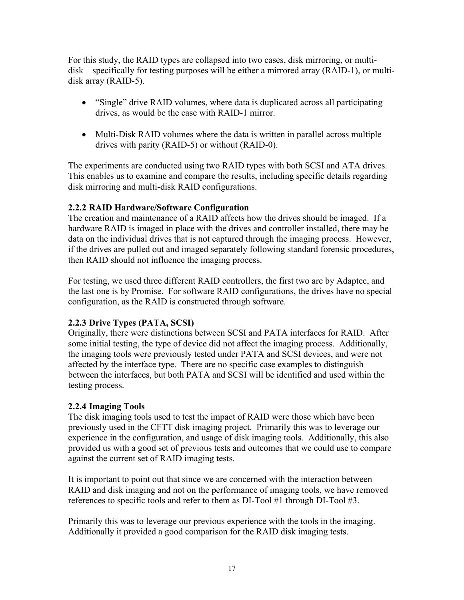For this study, the RAID types are collapsed into two cases, disk mirroring, or multidisk—specifically for testing purposes will be either a mirrored array (RAID-1), or multidisk array (RAID-5).

- "Single" drive RAID volumes, where data is duplicated across all participating drives, as would be the case with RAID-1 mirror.
- Multi-Disk RAID volumes where the data is written in parallel across multiple drives with parity (RAID-5) or without (RAID-0).

The experiments are conducted using two RAID types with both SCSI and ATA drives. This enables us to examine and compare the results, including specific details regarding disk mirroring and multi-disk RAID configurations.

#### **2.2.2 RAID Hardware/Software Configuration**

The creation and maintenance of a RAID affects how the drives should be imaged. If a hardware RAID is imaged in place with the drives and controller installed, there may be data on the individual drives that is not captured through the imaging process. However, if the drives are pulled out and imaged separately following standard forensic procedures, then RAID should not influence the imaging process.

For testing, we used three different RAID controllers, the first two are by Adaptec, and the last one is by Promise. For software RAID configurations, the drives have no special configuration, as the RAID is constructed through software.

### **2.2.3 Drive Types (PATA, SCSI)**

Originally, there were distinctions between SCSI and PATA interfaces for RAID. After some initial testing, the type of device did not affect the imaging process. Additionally, the imaging tools were previously tested under PATA and SCSI devices, and were not affected by the interface type. There are no specific case examples to distinguish between the interfaces, but both PATA and SCSI will be identified and used within the testing process.

#### **2.2.4 Imaging Tools**

The disk imaging tools used to test the impact of RAID were those which have been previously used in the CFTT disk imaging project. Primarily this was to leverage our experience in the configuration, and usage of disk imaging tools. Additionally, this also provided us with a good set of previous tests and outcomes that we could use to compare against the current set of RAID imaging tests.

It is important to point out that since we are concerned with the interaction between RAID and disk imaging and not on the performance of imaging tools, we have removed references to specific tools and refer to them as DI-Tool #1 through DI-Tool #3.

Primarily this was to leverage our previous experience with the tools in the imaging. Additionally it provided a good comparison for the RAID disk imaging tests.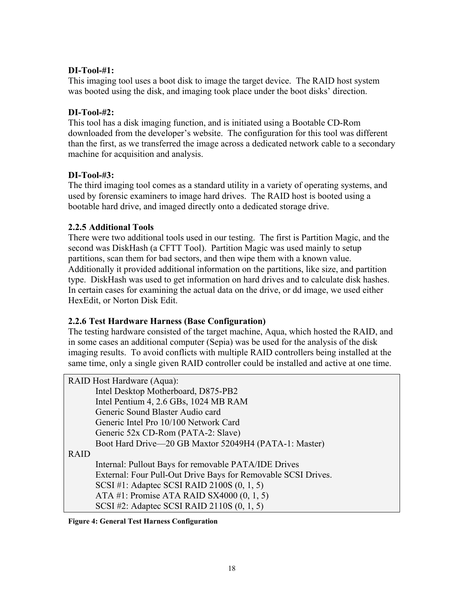#### **DI-Tool-#1:**

This imaging tool uses a boot disk to image the target device. The RAID host system was booted using the disk, and imaging took place under the boot disks' direction.

#### **DI-Tool-#2:**

This tool has a disk imaging function, and is initiated using a Bootable CD-Rom downloaded from the developer's website. The configuration for this tool was different than the first, as we transferred the image across a dedicated network cable to a secondary machine for acquisition and analysis.

#### **DI-Tool-#3:**

The third imaging tool comes as a standard utility in a variety of operating systems, and used by forensic examiners to image hard drives. The RAID host is booted using a bootable hard drive, and imaged directly onto a dedicated storage drive.

#### **2.2.5 Additional Tools**

There were two additional tools used in our testing. The first is Partition Magic, and the second was DiskHash (a CFTT Tool). Partition Magic was used mainly to setup partitions, scan them for bad sectors, and then wipe them with a known value. Additionally it provided additional information on the partitions, like size, and partition type. DiskHash was used to get information on hard drives and to calculate disk hashes. In certain cases for examining the actual data on the drive, or dd image, we used either HexEdit, or Norton Disk Edit.

#### **2.2.6 Test Hardware Harness (Base Configuration)**

The testing hardware consisted of the target machine, Aqua, which hosted the RAID, and in some cases an additional computer (Sepia) was be used for the analysis of the disk imaging results. To avoid conflicts with multiple RAID controllers being installed at the same time, only a single given RAID controller could be installed and active at one time.

RAID Host Hardware (Aqua): Intel Desktop Motherboard, D875-PB2 Intel Pentium 4, 2.6 GBs, 1024 MB RAM Generic Sound Blaster Audio card Generic Intel Pro 10/100 Network Card Generic 52x CD-Rom (PATA-2: Slave) Boot Hard Drive—20 GB Maxtor 52049H4 (PATA-1: Master) RAID Internal: Pullout Bays for removable PATA/IDE Drives External: Four Pull-Out Drive Bays for Removable SCSI Drives. SCSI #1: Adaptec SCSI RAID 2100S (0, 1, 5) ATA #1: Promise ATA RAID SX4000 (0, 1, 5) SCSI #2: Adaptec SCSI RAID 2110S (0, 1, 5)

#### **Figure 4: General Test Harness Configuration**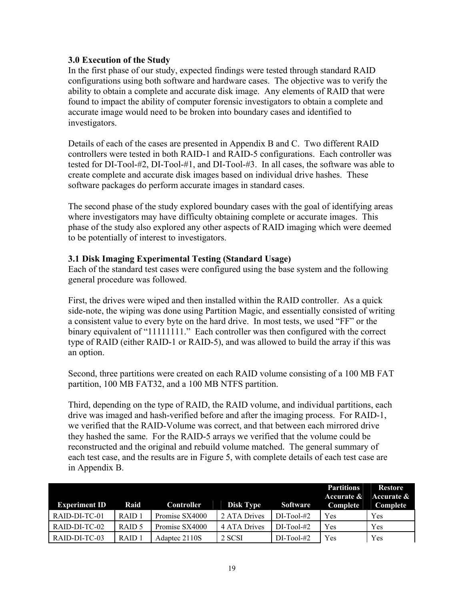#### **3.0 Execution of the Study**

In the first phase of our study, expected findings were tested through standard RAID configurations using both software and hardware cases. The objective was to verify the ability to obtain a complete and accurate disk image. Any elements of RAID that were found to impact the ability of computer forensic investigators to obtain a complete and accurate image would need to be broken into boundary cases and identified to investigators.

Details of each of the cases are presented in Appendix B and C. Two different RAID controllers were tested in both RAID-1 and RAID-5 configurations. Each controller was tested for DI-Tool-#2, DI-Tool-#1, and DI-Tool-#3. In all cases, the software was able to create complete and accurate disk images based on individual drive hashes. These software packages do perform accurate images in standard cases.

The second phase of the study explored boundary cases with the goal of identifying areas where investigators may have difficulty obtaining complete or accurate images. This phase of the study also explored any other aspects of RAID imaging which were deemed to be potentially of interest to investigators.

#### **3.1 Disk Imaging Experimental Testing (Standard Usage)**

Each of the standard test cases were configured using the base system and the following general procedure was followed.

First, the drives were wiped and then installed within the RAID controller. As a quick side-note, the wiping was done using Partition Magic, and essentially consisted of writing a consistent value to every byte on the hard drive. In most tests, we used "FF" or the binary equivalent of "11111111." Each controller was then configured with the correct type of RAID (either RAID-1 or RAID-5), and was allowed to build the array if this was an option.

Second, three partitions were created on each RAID volume consisting of a 100 MB FAT partition, 100 MB FAT32, and a 100 MB NTFS partition.

Third, depending on the type of RAID, the RAID volume, and individual partitions, each drive was imaged and hash-verified before and after the imaging process. For RAID-1, we verified that the RAID-Volume was correct, and that between each mirrored drive they hashed the same. For the RAID-5 arrays we verified that the volume could be reconstructed and the original and rebuild volume matched. The general summary of each test case, and the results are in Figure 5, with complete details of each test case are in Appendix B.

| <b>Experiment ID</b> | Raid              | <b>Controller</b> | <b>Disk Type</b> | Software     | <b>Partitions</b><br>Accurate &<br>Complete | Restore<br>Accurate &<br>Complete |
|----------------------|-------------------|-------------------|------------------|--------------|---------------------------------------------|-----------------------------------|
| RAID-DI-TC-01        | RAID <sub>1</sub> | Promise SX4000    | 2 ATA Drives     | $DI-Tool-#2$ | Yes                                         | Yes                               |
| $RAID-DI-TC-02$      | RAID 5            | Promise SX4000    | 4 ATA Drives     | $DI-Tool-#2$ | Yes                                         | Yes                               |
| RAID-DI-TC-03        | RAID <sub>1</sub> | Adaptec 2110S     | 2 SCSI           | $DI-Tool-#2$ | Yes                                         | Yes                               |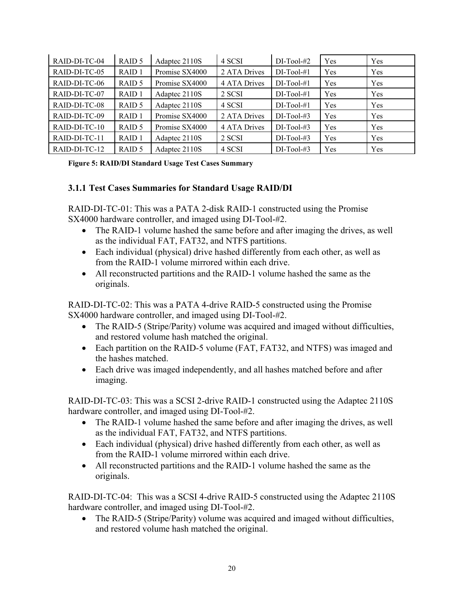| RAID-DI-TC-04 | RAID 5            | Adaptec 2110S  | 4 SCSI       | $DI-Tool-#2$  | Yes        | Yes |
|---------------|-------------------|----------------|--------------|---------------|------------|-----|
| RAID-DI-TC-05 | RAID <sub>1</sub> | Promise SX4000 | 2 ATA Drives | $DI-Tool-#1$  | <b>Yes</b> | Yes |
| RAID-DI-TC-06 | RAID 5            | Promise SX4000 | 4 ATA Drives | $DI-Tool-#1$  | Yes        | Yes |
| RAID-DI-TC-07 | RAID <sub>1</sub> | Adaptec 2110S  | 2 SCSI       | $DI-Tool-#1$  | Yes        | Yes |
| RAID-DI-TC-08 | RAID 5            | Adaptec 2110S  | 4 SCSI       | $DI-Tool-#1$  | Yes        | Yes |
| RAID-DI-TC-09 | RAID <sub>1</sub> | Promise SX4000 | 2 ATA Drives | $DI-Tool#3$   | Yes        | Yes |
| RAID-DI-TC-10 | RAID <sub>5</sub> | Promise SX4000 | 4 ATA Drives | $DI$ -Tool-#3 | Yes        | Yes |
| RAID-DI-TC-11 | RAID <sub>1</sub> | Adaptec 2110S  | 2 SCSI       | $DI-Tool-#3$  | Yes        | Yes |
| RAID-DI-TC-12 | RAID 5            | Adaptec 2110S  | 4 SCSI       | $DI-Tool-#3$  | Yes        | Yes |

#### **Figure 5: RAID/DI Standard Usage Test Cases Summary**

#### **3.1.1 Test Cases Summaries for Standard Usage RAID/DI**

RAID-DI-TC-01: This was a PATA 2-disk RAID-1 constructed using the Promise SX4000 hardware controller, and imaged using DI-Tool-#2.

- The RAID-1 volume hashed the same before and after imaging the drives, as well as the individual FAT, FAT32, and NTFS partitions.
- Each individual (physical) drive hashed differently from each other, as well as from the RAID-1 volume mirrored within each drive.
- All reconstructed partitions and the RAID-1 volume hashed the same as the originals.

RAID-DI-TC-02: This was a PATA 4-drive RAID-5 constructed using the Promise SX4000 hardware controller, and imaged using DI-Tool-#2.

- The RAID-5 (Stripe/Parity) volume was acquired and imaged without difficulties, and restored volume hash matched the original.
- Each partition on the RAID-5 volume (FAT, FAT32, and NTFS) was imaged and the hashes matched.
- Each drive was imaged independently, and all hashes matched before and after imaging.

RAID-DI-TC-03: This was a SCSI 2-drive RAID-1 constructed using the Adaptec 2110S hardware controller, and imaged using DI-Tool-#2.

- The RAID-1 volume hashed the same before and after imaging the drives, as well as the individual FAT, FAT32, and NTFS partitions.
- Each individual (physical) drive hashed differently from each other, as well as from the RAID-1 volume mirrored within each drive.
- All reconstructed partitions and the RAID-1 volume hashed the same as the originals.

RAID-DI-TC-04: This was a SCSI 4-drive RAID-5 constructed using the Adaptec 2110S hardware controller, and imaged using DI-Tool-#2.

• The RAID-5 (Stripe/Parity) volume was acquired and imaged without difficulties, and restored volume hash matched the original.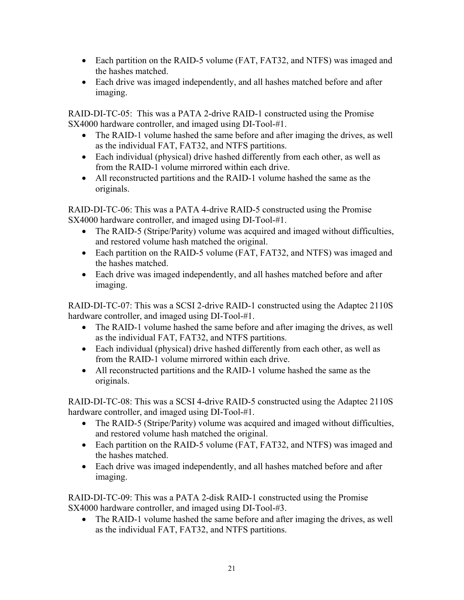- Each partition on the RAID-5 volume (FAT, FAT32, and NTFS) was imaged and the hashes matched.
- Each drive was imaged independently, and all hashes matched before and after imaging.

RAID-DI-TC-05: This was a PATA 2-drive RAID-1 constructed using the Promise SX4000 hardware controller, and imaged using DI-Tool-#1.

- The RAID-1 volume hashed the same before and after imaging the drives, as well as the individual FAT, FAT32, and NTFS partitions.
- Each individual (physical) drive hashed differently from each other, as well as from the RAID-1 volume mirrored within each drive.
- All reconstructed partitions and the RAID-1 volume hashed the same as the originals.

RAID-DI-TC-06: This was a PATA 4-drive RAID-5 constructed using the Promise SX4000 hardware controller, and imaged using DI-Tool-#1.

- The RAID-5 (Stripe/Parity) volume was acquired and imaged without difficulties, and restored volume hash matched the original.
- Each partition on the RAID-5 volume (FAT, FAT32, and NTFS) was imaged and the hashes matched.
- Each drive was imaged independently, and all hashes matched before and after imaging.

RAID-DI-TC-07: This was a SCSI 2-drive RAID-1 constructed using the Adaptec 2110S hardware controller, and imaged using DI-Tool-#1.

- The RAID-1 volume hashed the same before and after imaging the drives, as well as the individual FAT, FAT32, and NTFS partitions.
- Each individual (physical) drive hashed differently from each other, as well as from the RAID-1 volume mirrored within each drive.
- All reconstructed partitions and the RAID-1 volume hashed the same as the originals.

RAID-DI-TC-08: This was a SCSI 4-drive RAID-5 constructed using the Adaptec 2110S hardware controller, and imaged using DI-Tool-#1.

- The RAID-5 (Stripe/Parity) volume was acquired and imaged without difficulties, and restored volume hash matched the original.
- Each partition on the RAID-5 volume (FAT, FAT32, and NTFS) was imaged and the hashes matched.
- Each drive was imaged independently, and all hashes matched before and after imaging.

RAID-DI-TC-09: This was a PATA 2-disk RAID-1 constructed using the Promise SX4000 hardware controller, and imaged using DI-Tool-#3.

• The RAID-1 volume hashed the same before and after imaging the drives, as well as the individual FAT, FAT32, and NTFS partitions.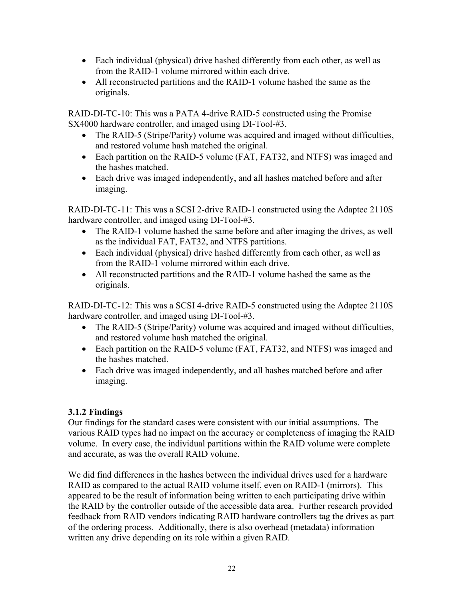- Each individual (physical) drive hashed differently from each other, as well as from the RAID-1 volume mirrored within each drive.
- All reconstructed partitions and the RAID-1 volume hashed the same as the originals.

RAID-DI-TC-10: This was a PATA 4-drive RAID-5 constructed using the Promise SX4000 hardware controller, and imaged using DI-Tool-#3.

- The RAID-5 (Stripe/Parity) volume was acquired and imaged without difficulties, and restored volume hash matched the original.
- Each partition on the RAID-5 volume (FAT, FAT32, and NTFS) was imaged and the hashes matched.
- Each drive was imaged independently, and all hashes matched before and after imaging.

RAID-DI-TC-11: This was a SCSI 2-drive RAID-1 constructed using the Adaptec 2110S hardware controller, and imaged using DI-Tool-#3.

- The RAID-1 volume hashed the same before and after imaging the drives, as well as the individual FAT, FAT32, and NTFS partitions.
- Each individual (physical) drive hashed differently from each other, as well as from the RAID-1 volume mirrored within each drive.
- All reconstructed partitions and the RAID-1 volume hashed the same as the originals.

RAID-DI-TC-12: This was a SCSI 4-drive RAID-5 constructed using the Adaptec 2110S hardware controller, and imaged using DI-Tool-#3.

- The RAID-5 (Stripe/Parity) volume was acquired and imaged without difficulties, and restored volume hash matched the original.
- Each partition on the RAID-5 volume (FAT, FAT32, and NTFS) was imaged and the hashes matched.
- Each drive was imaged independently, and all hashes matched before and after imaging.

### **3.1.2 Findings**

Our findings for the standard cases were consistent with our initial assumptions. The various RAID types had no impact on the accuracy or completeness of imaging the RAID volume. In every case, the individual partitions within the RAID volume were complete and accurate, as was the overall RAID volume.

We did find differences in the hashes between the individual drives used for a hardware RAID as compared to the actual RAID volume itself, even on RAID-1 (mirrors). This appeared to be the result of information being written to each participating drive within the RAID by the controller outside of the accessible data area. Further research provided feedback from RAID vendors indicating RAID hardware controllers tag the drives as part of the ordering process. Additionally, there is also overhead (metadata) information written any drive depending on its role within a given RAID.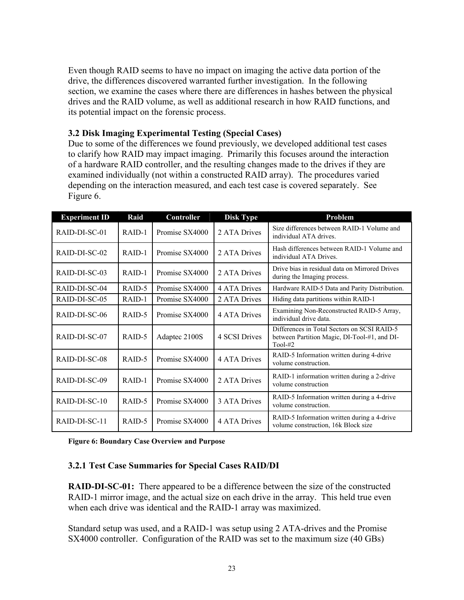Even though RAID seems to have no impact on imaging the active data portion of the drive, the differences discovered warranted further investigation. In the following section, we examine the cases where there are differences in hashes between the physical drives and the RAID volume, as well as additional research in how RAID functions, and its potential impact on the forensic process.

#### **3.2 Disk Imaging Experimental Testing (Special Cases)**

Due to some of the differences we found previously, we developed additional test cases to clarify how RAID may impact imaging. Primarily this focuses around the interaction of a hardware RAID controller, and the resulting changes made to the drives if they are examined individually (not within a constructed RAID array). The procedures varied depending on the interaction measured, and each test case is covered separately. See Figure 6.

| <b>Experiment ID</b> | Raid     | Controller     | <b>Disk Type</b> | Problem                                                                                                  |
|----------------------|----------|----------------|------------------|----------------------------------------------------------------------------------------------------------|
| RAID-DI-SC-01        | $RAID-1$ | Promise SX4000 | 2 ATA Drives     | Size differences between RAID-1 Volume and<br>individual ATA drives.                                     |
| RAID-DI-SC-02        | $RAID-1$ | Promise SX4000 | 2 ATA Drives     | Hash differences between RAID-1 Volume and<br>individual ATA Drives.                                     |
| RAID-DI-SC-03        | RAID-1   | Promise SX4000 | 2 ATA Drives     | Drive bias in residual data on Mirrored Drives<br>during the Imaging process.                            |
| RAID-DI-SC-04        | RAID-5   | Promise SX4000 | 4 ATA Drives     | Hardware RAID-5 Data and Parity Distribution.                                                            |
| RAID-DI-SC-05        | RAID-1   | Promise SX4000 | 2 ATA Drives     | Hiding data partitions within RAID-1                                                                     |
| RAID-DI-SC-06        | RAID-5   | Promise SX4000 | 4 ATA Drives     | Examining Non-Reconstructed RAID-5 Array,<br>individual drive data.                                      |
| RAID-DI-SC-07        | RAID-5   | Adaptec 2100S  | 4 SCSI Drives    | Differences in Total Sectors on SCSI RAID-5<br>between Partition Magic, DI-Tool-#1, and DI-<br>$Tool-#2$ |
| RAID-DI-SC-08        | RAID-5   | Promise SX4000 | 4 ATA Drives     | RAID-5 Information written during 4-drive<br>volume construction.                                        |
| RAID-DI-SC-09        | $RAID-1$ | Promise SX4000 | 2 ATA Drives     | RAID-1 information written during a 2-drive<br>volume construction                                       |
| RAID-DI-SC-10        | RAID-5   | Promise SX4000 | 3 ATA Drives     | RAID-5 Information written during a 4-drive<br>volume construction.                                      |
| RAID-DI-SC-11        | RAID-5   | Promise SX4000 | 4 ATA Drives     | RAID-5 Information written during a 4-drive<br>volume construction, 16k Block size                       |

**Figure 6: Boundary Case Overview and Purpose** 

#### **3.2.1 Test Case Summaries for Special Cases RAID/DI**

**RAID-DI-SC-01:** There appeared to be a difference between the size of the constructed RAID-1 mirror image, and the actual size on each drive in the array. This held true even when each drive was identical and the RAID-1 array was maximized.

Standard setup was used, and a RAID-1 was setup using 2 ATA-drives and the Promise SX4000 controller. Configuration of the RAID was set to the maximum size (40 GBs)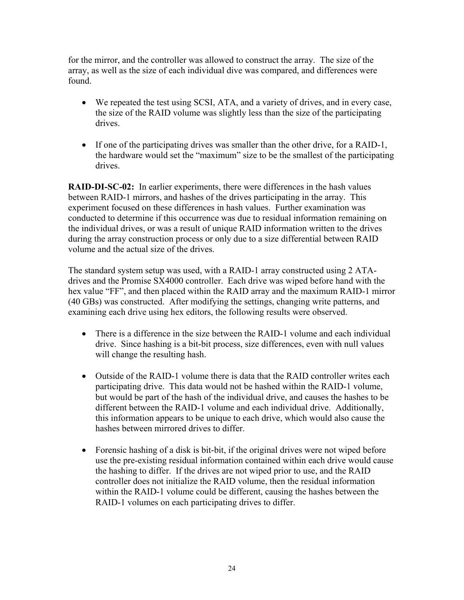for the mirror, and the controller was allowed to construct the array. The size of the array, as well as the size of each individual dive was compared, and differences were found.

- We repeated the test using SCSI, ATA, and a variety of drives, and in every case, the size of the RAID volume was slightly less than the size of the participating drives.
- If one of the participating drives was smaller than the other drive, for a RAID-1, the hardware would set the "maximum" size to be the smallest of the participating drives.

**RAID-DI-SC-02:** In earlier experiments, there were differences in the hash values between RAID-1 mirrors, and hashes of the drives participating in the array. This experiment focused on these differences in hash values. Further examination was conducted to determine if this occurrence was due to residual information remaining on the individual drives, or was a result of unique RAID information written to the drives during the array construction process or only due to a size differential between RAID volume and the actual size of the drives.

The standard system setup was used, with a RAID-1 array constructed using 2 ATAdrives and the Promise SX4000 controller. Each drive was wiped before hand with the hex value "FF", and then placed within the RAID array and the maximum RAID-1 mirror (40 GBs) was constructed. After modifying the settings, changing write patterns, and examining each drive using hex editors, the following results were observed.

- There is a difference in the size between the RAID-1 volume and each individual drive. Since hashing is a bit-bit process, size differences, even with null values will change the resulting hash.
- Outside of the RAID-1 volume there is data that the RAID controller writes each participating drive. This data would not be hashed within the RAID-1 volume, but would be part of the hash of the individual drive, and causes the hashes to be different between the RAID-1 volume and each individual drive. Additionally, this information appears to be unique to each drive, which would also cause the hashes between mirrored drives to differ.
- Forensic hashing of a disk is bit-bit, if the original drives were not wiped before use the pre-existing residual information contained within each drive would cause the hashing to differ. If the drives are not wiped prior to use, and the RAID controller does not initialize the RAID volume, then the residual information within the RAID-1 volume could be different, causing the hashes between the RAID-1 volumes on each participating drives to differ.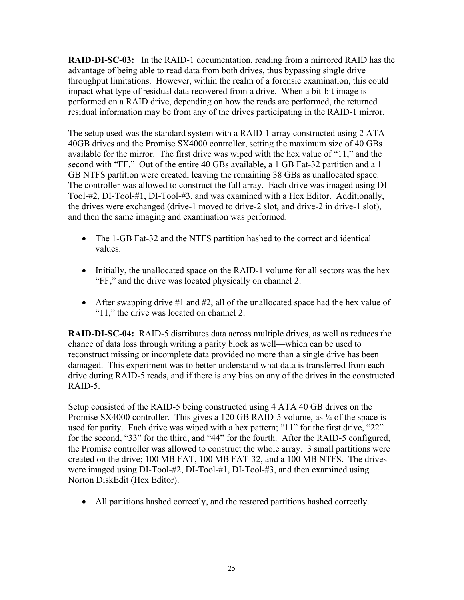**RAID-DI-SC-03:** In the RAID-1 documentation, reading from a mirrored RAID has the advantage of being able to read data from both drives, thus bypassing single drive throughput limitations. However, within the realm of a forensic examination, this could impact what type of residual data recovered from a drive. When a bit-bit image is performed on a RAID drive, depending on how the reads are performed, the returned residual information may be from any of the drives participating in the RAID-1 mirror.

The setup used was the standard system with a RAID-1 array constructed using 2 ATA 40GB drives and the Promise SX4000 controller, setting the maximum size of 40 GBs available for the mirror. The first drive was wiped with the hex value of "11," and the second with "FF." Out of the entire 40 GBs available, a 1 GB Fat-32 partition and a 1 GB NTFS partition were created, leaving the remaining 38 GBs as unallocated space. The controller was allowed to construct the full array. Each drive was imaged using DI-Tool-#2, DI-Tool-#1, DI-Tool-#3, and was examined with a Hex Editor. Additionally, the drives were exchanged (drive-1 moved to drive-2 slot, and drive-2 in drive-1 slot), and then the same imaging and examination was performed.

- The 1-GB Fat-32 and the NTFS partition hashed to the correct and identical values.
- Initially, the unallocated space on the RAID-1 volume for all sectors was the hex "FF," and the drive was located physically on channel 2.
- After swapping drive  $\#1$  and  $\#2$ , all of the unallocated space had the hex value of "11," the drive was located on channel 2.

**RAID-DI-SC-04:** RAID-5 distributes data across multiple drives, as well as reduces the chance of data loss through writing a parity block as well—which can be used to reconstruct missing or incomplete data provided no more than a single drive has been damaged. This experiment was to better understand what data is transferred from each drive during RAID-5 reads, and if there is any bias on any of the drives in the constructed RAID-5.

Setup consisted of the RAID-5 being constructed using 4 ATA 40 GB drives on the Promise SX4000 controller. This gives a 120 GB RAID-5 volume, as  $\frac{1}{4}$  of the space is used for parity. Each drive was wiped with a hex pattern; "11" for the first drive, "22" for the second, "33" for the third, and "44" for the fourth. After the RAID-5 configured, the Promise controller was allowed to construct the whole array. 3 small partitions were created on the drive; 100 MB FAT, 100 MB FAT-32, and a 100 MB NTFS. The drives were imaged using DI-Tool-#2, DI-Tool-#1, DI-Tool-#3, and then examined using Norton DiskEdit (Hex Editor).

• All partitions hashed correctly, and the restored partitions hashed correctly.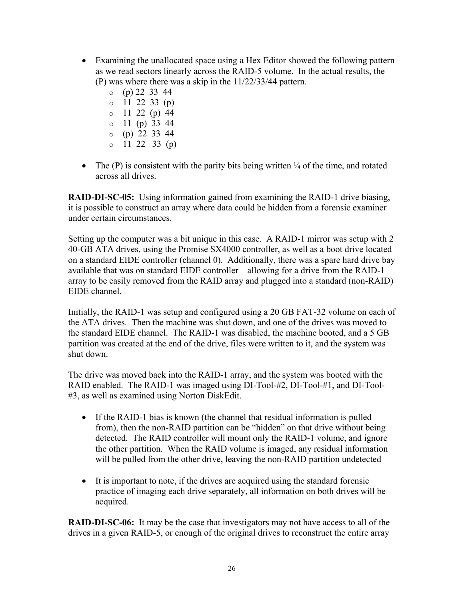- Examining the unallocated space using a Hex Editor showed the following pattern as we read sectors linearly across the RAID-5 volume. In the actual results, the (P) was where there was a skip in the 11/22/33/44 pattern.
	- $o$  (p) 22 33 44
	- $o$  11 22 33 (p)
	- $0 \quad 11 \quad 22 \quad (p) \quad 44$
	- $o$  11 (p) 33 44
	- $o$  (p) 22 33 44
	- $o$  11 22 33 (p)
- The  $(P)$  is consistent with the parity bits being written  $\frac{1}{4}$  of the time, and rotated across all drives.

**RAID-DI-SC-05:** Using information gained from examining the RAID-1 drive biasing, it is possible to construct an array where data could be hidden from a forensic examiner under certain circumstances.

Setting up the computer was a bit unique in this case. A RAID-1 mirror was setup with 2 40-GB ATA drives, using the Promise SX4000 controller, as well as a boot drive located on a standard EIDE controller (channel 0). Additionally, there was a spare hard drive bay available that was on standard EIDE controller—allowing for a drive from the RAID-1 array to be easily removed from the RAID array and plugged into a standard (non-RAID) EIDE channel.

Initially, the RAID-1 was setup and configured using a 20 GB FAT-32 volume on each of the ATA drives. Then the machine was shut down, and one of the drives was moved to the standard EIDE channel. The RAID-1 was disabled, the machine booted, and a 5 GB partition was created at the end of the drive, files were written to it, and the system was shut down.

The drive was moved back into the RAID-1 array, and the system was booted with the RAID enabled. The RAID-1 was imaged using DI-Tool-#2, DI-Tool-#1, and DI-Tool- #3, as well as examined using Norton DiskEdit.

- If the RAID-1 bias is known (the channel that residual information is pulled from), then the non-RAID partition can be "hidden" on that drive without being detected. The RAID controller will mount only the RAID-1 volume, and ignore the other partition. When the RAID volume is imaged, any residual information will be pulled from the other drive, leaving the non-RAID partition undetected
- It is important to note, if the drives are acquired using the standard forensic practice of imaging each drive separately, all information on both drives will be acquired.

**RAID-DI-SC-06:** It may be the case that investigators may not have access to all of the drives in a given RAID-5, or enough of the original drives to reconstruct the entire array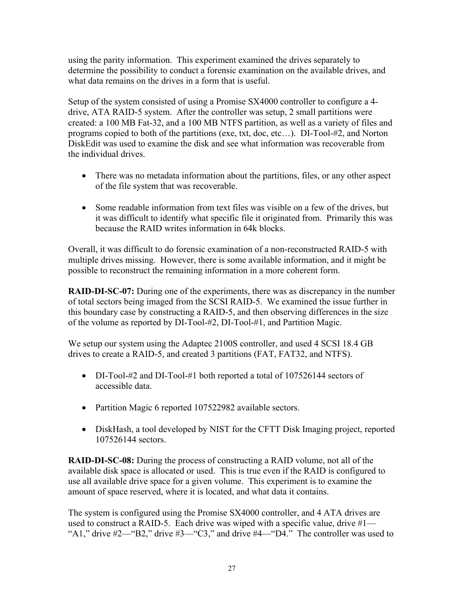using the parity information. This experiment examined the drives separately to determine the possibility to conduct a forensic examination on the available drives, and what data remains on the drives in a form that is useful.

Setup of the system consisted of using a Promise SX4000 controller to configure a 4 drive, ATA RAID-5 system. After the controller was setup, 2 small partitions were created: a 100 MB Fat-32, and a 100 MB NTFS partition, as well as a variety of files and programs copied to both of the partitions (exe, txt, doc, etc…). DI-Tool-#2, and Norton DiskEdit was used to examine the disk and see what information was recoverable from the individual drives.

- There was no metadata information about the partitions, files, or any other aspect of the file system that was recoverable.
- Some readable information from text files was visible on a few of the drives, but it was difficult to identify what specific file it originated from. Primarily this was because the RAID writes information in 64k blocks.

Overall, it was difficult to do forensic examination of a non-reconstructed RAID-5 with multiple drives missing. However, there is some available information, and it might be possible to reconstruct the remaining information in a more coherent form.

**RAID-DI-SC-07:** During one of the experiments, there was as discrepancy in the number of total sectors being imaged from the SCSI RAID-5. We examined the issue further in this boundary case by constructing a RAID-5, and then observing differences in the size of the volume as reported by DI-Tool-#2, DI-Tool-#1, and Partition Magic.

We setup our system using the Adaptec 2100S controller, and used 4 SCSI 18.4 GB drives to create a RAID-5, and created 3 partitions (FAT, FAT32, and NTFS).

- DI-Tool-#2 and DI-Tool-#1 both reported a total of 107526144 sectors of accessible data.
- Partition Magic 6 reported 107522982 available sectors.
- DiskHash, a tool developed by NIST for the CFTT Disk Imaging project, reported 107526144 sectors.

**RAID-DI-SC-08:** During the process of constructing a RAID volume, not all of the available disk space is allocated or used. This is true even if the RAID is configured to use all available drive space for a given volume. This experiment is to examine the amount of space reserved, where it is located, and what data it contains.

The system is configured using the Promise SX4000 controller, and 4 ATA drives are used to construct a RAID-5. Each drive was wiped with a specific value, drive  $\#1$ — "A1," drive  $#2$ —"B2," drive  $#3$ —"C3," and drive  $#4$ —"D4." The controller was used to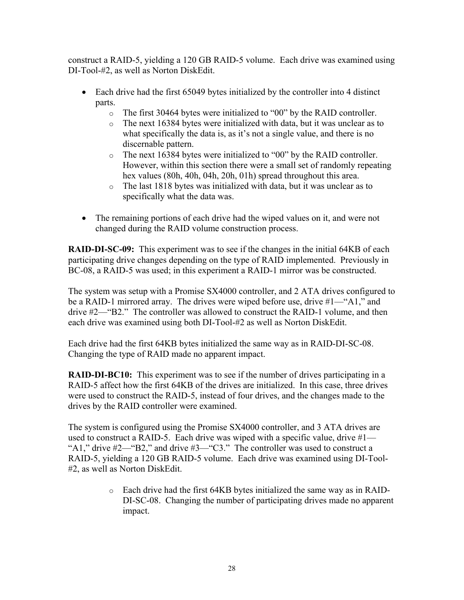construct a RAID-5, yielding a 120 GB RAID-5 volume. Each drive was examined using DI-Tool-#2, as well as Norton DiskEdit.

- Each drive had the first 65049 bytes initialized by the controller into 4 distinct parts.
	- o The first 30464 bytes were initialized to "00" by the RAID controller.
	- o The next 16384 bytes were initialized with data, but it was unclear as to what specifically the data is, as it's not a single value, and there is no discernable pattern.
	- o The next 16384 bytes were initialized to "00" by the RAID controller. However, within this section there were a small set of randomly repeating hex values (80h, 40h, 04h, 20h, 01h) spread throughout this area.
	- o The last 1818 bytes was initialized with data, but it was unclear as to specifically what the data was.
- The remaining portions of each drive had the wiped values on it, and were not changed during the RAID volume construction process.

**RAID-DI-SC-09:** This experiment was to see if the changes in the initial 64KB of each participating drive changes depending on the type of RAID implemented. Previously in BC-08, a RAID-5 was used; in this experiment a RAID-1 mirror was be constructed.

The system was setup with a Promise SX4000 controller, and 2 ATA drives configured to be a RAID-1 mirrored array. The drives were wiped before use, drive #1—"A1," and drive #2—"B2." The controller was allowed to construct the RAID-1 volume, and then each drive was examined using both DI-Tool-#2 as well as Norton DiskEdit.

Each drive had the first 64KB bytes initialized the same way as in RAID-DI-SC-08. Changing the type of RAID made no apparent impact.

**RAID-DI-BC10:** This experiment was to see if the number of drives participating in a RAID-5 affect how the first 64KB of the drives are initialized. In this case, three drives were used to construct the RAID-5, instead of four drives, and the changes made to the drives by the RAID controller were examined.

The system is configured using the Promise SX4000 controller, and 3 ATA drives are used to construct a RAID-5. Each drive was wiped with a specific value, drive #1— "A1," drive  $#2$ —"B2," and drive  $#3$ —"C3." The controller was used to construct a RAID-5, yielding a 120 GB RAID-5 volume. Each drive was examined using DI-Tool- #2, as well as Norton DiskEdit.

> o Each drive had the first 64KB bytes initialized the same way as in RAID-DI-SC-08. Changing the number of participating drives made no apparent impact.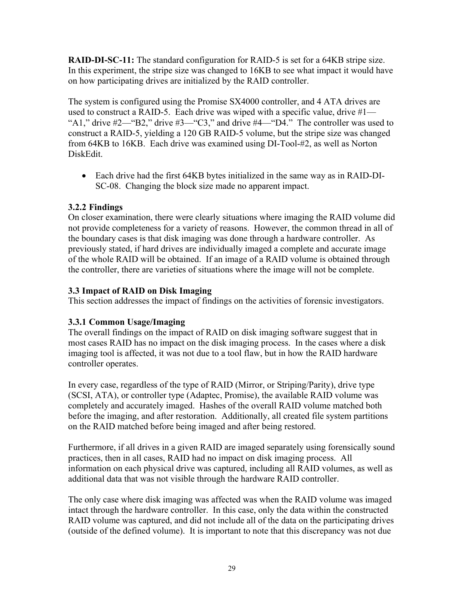**RAID-DI-SC-11:** The standard configuration for RAID-5 is set for a 64KB stripe size. In this experiment, the stripe size was changed to 16KB to see what impact it would have on how participating drives are initialized by the RAID controller.

The system is configured using the Promise SX4000 controller, and 4 ATA drives are used to construct a RAID-5. Each drive was wiped with a specific value, drive #1— "A1," drive  $\#2$ —"B2," drive  $\#3$ —"C3," and drive  $\#4$ —"D4." The controller was used to construct a RAID-5, yielding a 120 GB RAID-5 volume, but the stripe size was changed from 64KB to 16KB. Each drive was examined using DI-Tool-#2, as well as Norton DiskEdit.

• Each drive had the first 64KB bytes initialized in the same way as in RAID-DI-SC-08. Changing the block size made no apparent impact.

#### **3.2.2 Findings**

On closer examination, there were clearly situations where imaging the RAID volume did not provide completeness for a variety of reasons. However, the common thread in all of the boundary cases is that disk imaging was done through a hardware controller. As previously stated, if hard drives are individually imaged a complete and accurate image of the whole RAID will be obtained. If an image of a RAID volume is obtained through the controller, there are varieties of situations where the image will not be complete.

#### **3.3 Impact of RAID on Disk Imaging**

This section addresses the impact of findings on the activities of forensic investigators.

#### **3.3.1 Common Usage/Imaging**

The overall findings on the impact of RAID on disk imaging software suggest that in most cases RAID has no impact on the disk imaging process. In the cases where a disk imaging tool is affected, it was not due to a tool flaw, but in how the RAID hardware controller operates.

In every case, regardless of the type of RAID (Mirror, or Striping/Parity), drive type (SCSI, ATA), or controller type (Adaptec, Promise), the available RAID volume was completely and accurately imaged. Hashes of the overall RAID volume matched both before the imaging, and after restoration. Additionally, all created file system partitions on the RAID matched before being imaged and after being restored.

Furthermore, if all drives in a given RAID are imaged separately using forensically sound practices, then in all cases, RAID had no impact on disk imaging process. All information on each physical drive was captured, including all RAID volumes, as well as additional data that was not visible through the hardware RAID controller.

The only case where disk imaging was affected was when the RAID volume was imaged intact through the hardware controller. In this case, only the data within the constructed RAID volume was captured, and did not include all of the data on the participating drives (outside of the defined volume). It is important to note that this discrepancy was not due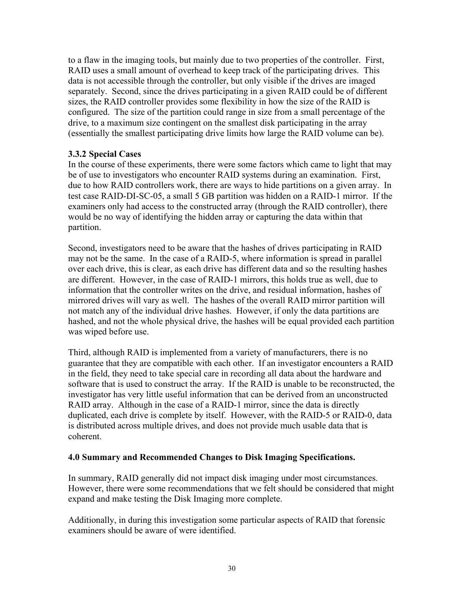to a flaw in the imaging tools, but mainly due to two properties of the controller. First, RAID uses a small amount of overhead to keep track of the participating drives. This data is not accessible through the controller, but only visible if the drives are imaged separately. Second, since the drives participating in a given RAID could be of different sizes, the RAID controller provides some flexibility in how the size of the RAID is configured. The size of the partition could range in size from a small percentage of the drive, to a maximum size contingent on the smallest disk participating in the array (essentially the smallest participating drive limits how large the RAID volume can be).

#### **3.3.2 Special Cases**

In the course of these experiments, there were some factors which came to light that may be of use to investigators who encounter RAID systems during an examination. First, due to how RAID controllers work, there are ways to hide partitions on a given array. In test case RAID-DI-SC-05, a small 5 GB partition was hidden on a RAID-1 mirror. If the examiners only had access to the constructed array (through the RAID controller), there would be no way of identifying the hidden array or capturing the data within that partition.

Second, investigators need to be aware that the hashes of drives participating in RAID may not be the same. In the case of a RAID-5, where information is spread in parallel over each drive, this is clear, as each drive has different data and so the resulting hashes are different. However, in the case of RAID-1 mirrors, this holds true as well, due to information that the controller writes on the drive, and residual information, hashes of mirrored drives will vary as well. The hashes of the overall RAID mirror partition will not match any of the individual drive hashes. However, if only the data partitions are hashed, and not the whole physical drive, the hashes will be equal provided each partition was wiped before use.

Third, although RAID is implemented from a variety of manufacturers, there is no guarantee that they are compatible with each other. If an investigator encounters a RAID in the field, they need to take special care in recording all data about the hardware and software that is used to construct the array. If the RAID is unable to be reconstructed, the investigator has very little useful information that can be derived from an unconstructed RAID array. Although in the case of a RAID-1 mirror, since the data is directly duplicated, each drive is complete by itself. However, with the RAID-5 or RAID-0, data is distributed across multiple drives, and does not provide much usable data that is coherent.

#### **4.0 Summary and Recommended Changes to Disk Imaging Specifications.**

In summary, RAID generally did not impact disk imaging under most circumstances. However, there were some recommendations that we felt should be considered that might expand and make testing the Disk Imaging more complete.

Additionally, in during this investigation some particular aspects of RAID that forensic examiners should be aware of were identified.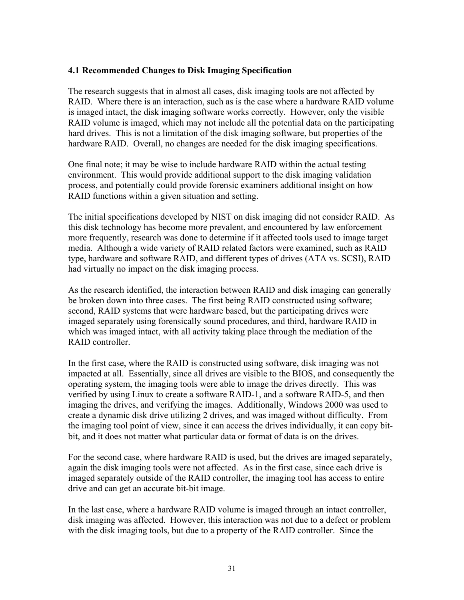#### **4.1 Recommended Changes to Disk Imaging Specification**

The research suggests that in almost all cases, disk imaging tools are not affected by RAID. Where there is an interaction, such as is the case where a hardware RAID volume is imaged intact, the disk imaging software works correctly. However, only the visible RAID volume is imaged, which may not include all the potential data on the participating hard drives. This is not a limitation of the disk imaging software, but properties of the hardware RAID. Overall, no changes are needed for the disk imaging specifications.

One final note; it may be wise to include hardware RAID within the actual testing environment. This would provide additional support to the disk imaging validation process, and potentially could provide forensic examiners additional insight on how RAID functions within a given situation and setting.

The initial specifications developed by NIST on disk imaging did not consider RAID. As this disk technology has become more prevalent, and encountered by law enforcement more frequently, research was done to determine if it affected tools used to image target media. Although a wide variety of RAID related factors were examined, such as RAID type, hardware and software RAID, and different types of drives (ATA vs. SCSI), RAID had virtually no impact on the disk imaging process.

As the research identified, the interaction between RAID and disk imaging can generally be broken down into three cases. The first being RAID constructed using software; second, RAID systems that were hardware based, but the participating drives were imaged separately using forensically sound procedures, and third, hardware RAID in which was imaged intact, with all activity taking place through the mediation of the RAID controller.

In the first case, where the RAID is constructed using software, disk imaging was not impacted at all. Essentially, since all drives are visible to the BIOS, and consequently the operating system, the imaging tools were able to image the drives directly. This was verified by using Linux to create a software RAID-1, and a software RAID-5, and then imaging the drives, and verifying the images. Additionally, Windows 2000 was used to create a dynamic disk drive utilizing 2 drives, and was imaged without difficulty. From the imaging tool point of view, since it can access the drives individually, it can copy bitbit, and it does not matter what particular data or format of data is on the drives.

For the second case, where hardware RAID is used, but the drives are imaged separately, again the disk imaging tools were not affected. As in the first case, since each drive is imaged separately outside of the RAID controller, the imaging tool has access to entire drive and can get an accurate bit-bit image.

In the last case, where a hardware RAID volume is imaged through an intact controller, disk imaging was affected. However, this interaction was not due to a defect or problem with the disk imaging tools, but due to a property of the RAID controller. Since the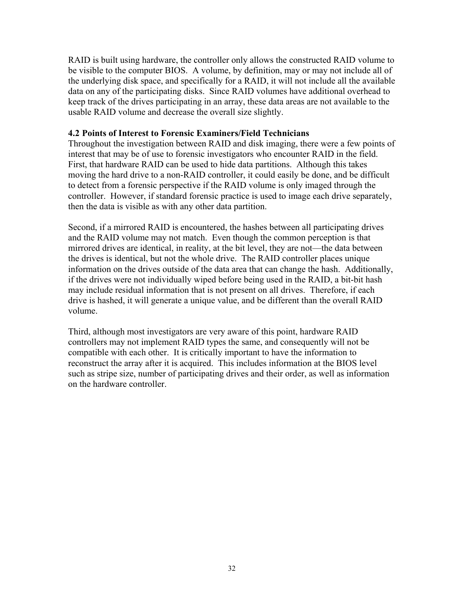RAID is built using hardware, the controller only allows the constructed RAID volume to be visible to the computer BIOS. A volume, by definition, may or may not include all of the underlying disk space, and specifically for a RAID, it will not include all the available data on any of the participating disks. Since RAID volumes have additional overhead to keep track of the drives participating in an array, these data areas are not available to the usable RAID volume and decrease the overall size slightly.

#### **4.2 Points of Interest to Forensic Examiners/Field Technicians**

Throughout the investigation between RAID and disk imaging, there were a few points of interest that may be of use to forensic investigators who encounter RAID in the field. First, that hardware RAID can be used to hide data partitions. Although this takes moving the hard drive to a non-RAID controller, it could easily be done, and be difficult to detect from a forensic perspective if the RAID volume is only imaged through the controller. However, if standard forensic practice is used to image each drive separately, then the data is visible as with any other data partition.

Second, if a mirrored RAID is encountered, the hashes between all participating drives and the RAID volume may not match. Even though the common perception is that mirrored drives are identical, in reality, at the bit level, they are not—the data between the drives is identical, but not the whole drive. The RAID controller places unique information on the drives outside of the data area that can change the hash. Additionally, if the drives were not individually wiped before being used in the RAID, a bit-bit hash may include residual information that is not present on all drives. Therefore, if each drive is hashed, it will generate a unique value, and be different than the overall RAID volume.

Third, although most investigators are very aware of this point, hardware RAID controllers may not implement RAID types the same, and consequently will not be compatible with each other. It is critically important to have the information to reconstruct the array after it is acquired. This includes information at the BIOS level such as stripe size, number of participating drives and their order, as well as information on the hardware controller.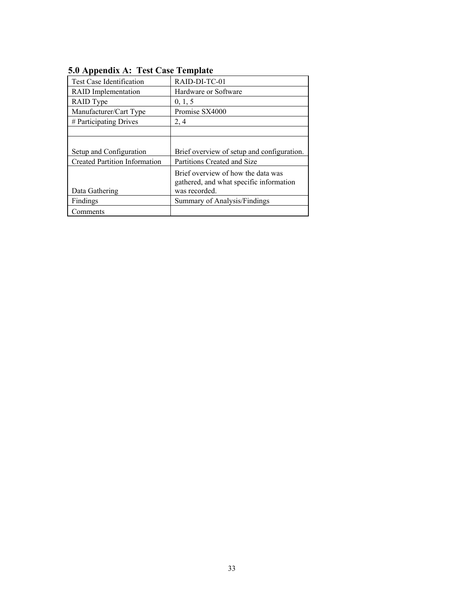| 0.0 hppchula ni Test Case Template   |                                                                                                |
|--------------------------------------|------------------------------------------------------------------------------------------------|
| <b>Test Case Identification</b>      | RAID-DI-TC-01                                                                                  |
| <b>RAID</b> Implementation           | Hardware or Software                                                                           |
| RAID Type                            | 0, 1, 5                                                                                        |
| Manufacturer/Cart Type               | Promise SX4000                                                                                 |
| # Participating Drives               | 2, 4                                                                                           |
|                                      |                                                                                                |
|                                      |                                                                                                |
| Setup and Configuration              | Brief overview of setup and configuration.                                                     |
| <b>Created Partition Information</b> | Partitions Created and Size                                                                    |
| Data Gathering                       | Brief overview of how the data was<br>gathered, and what specific information<br>was recorded. |
| Findings                             | Summary of Analysis/Findings                                                                   |
| Comments                             |                                                                                                |

#### **5.0 Appendix A: Test Case Template**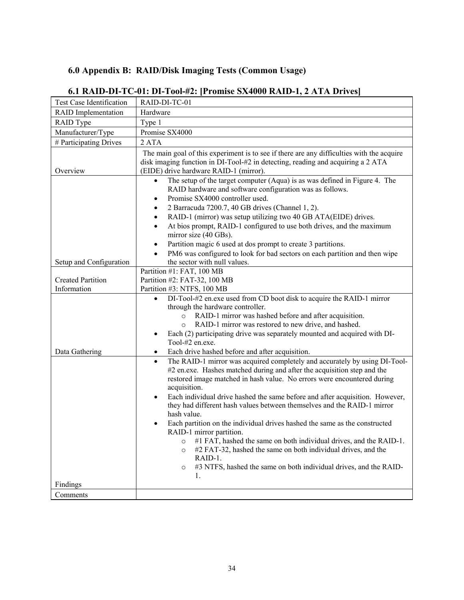## **6.0 Appendix B: RAID/Disk Imaging Tests (Common Usage)**

| Test Case Identification                | RAID-DI-TC-01                                                                                                                                                                                                                                                                                                                                                                                                                                                                                                                                                                                                                                                                                                                                                                                                          |
|-----------------------------------------|------------------------------------------------------------------------------------------------------------------------------------------------------------------------------------------------------------------------------------------------------------------------------------------------------------------------------------------------------------------------------------------------------------------------------------------------------------------------------------------------------------------------------------------------------------------------------------------------------------------------------------------------------------------------------------------------------------------------------------------------------------------------------------------------------------------------|
| <b>RAID</b> Implementation              | Hardware                                                                                                                                                                                                                                                                                                                                                                                                                                                                                                                                                                                                                                                                                                                                                                                                               |
| RAID Type                               | Type 1                                                                                                                                                                                                                                                                                                                                                                                                                                                                                                                                                                                                                                                                                                                                                                                                                 |
| Manufacturer/Type                       | Promise SX4000                                                                                                                                                                                                                                                                                                                                                                                                                                                                                                                                                                                                                                                                                                                                                                                                         |
| # Participating Drives                  | 2 ATA                                                                                                                                                                                                                                                                                                                                                                                                                                                                                                                                                                                                                                                                                                                                                                                                                  |
| Overview                                | The main goal of this experiment is to see if there are any difficulties with the acquire<br>disk imaging function in DI-Tool-#2 in detecting, reading and acquiring a 2 ATA<br>(EIDE) drive hardware RAID-1 (mirror).                                                                                                                                                                                                                                                                                                                                                                                                                                                                                                                                                                                                 |
|                                         | The setup of the target computer (Aqua) is as was defined in Figure 4. The<br>$\bullet$<br>RAID hardware and software configuration was as follows.<br>Promise SX4000 controller used.<br>$\bullet$<br>2 Barracuda 7200.7, 40 GB drives (Channel 1, 2).<br>$\bullet$<br>RAID-1 (mirror) was setup utilizing two 40 GB ATA(EIDE) drives.<br>$\bullet$<br>At bios prompt, RAID-1 configured to use both drives, and the maximum<br>$\bullet$<br>mirror size (40 GBs).<br>Partition magic 6 used at dos prompt to create 3 partitions.<br>$\bullet$<br>PM6 was configured to look for bad sectors on each partition and then wipe<br>$\bullet$                                                                                                                                                                            |
| Setup and Configuration                 | the sector with null values.                                                                                                                                                                                                                                                                                                                                                                                                                                                                                                                                                                                                                                                                                                                                                                                           |
| <b>Created Partition</b><br>Information | Partition #1: FAT, 100 MB<br>Partition #2: FAT-32, 100 MB<br>Partition #3: NTFS, 100 MB                                                                                                                                                                                                                                                                                                                                                                                                                                                                                                                                                                                                                                                                                                                                |
|                                         | DI-Tool-#2 en.exe used from CD boot disk to acquire the RAID-1 mirror<br>$\bullet$<br>through the hardware controller.<br>RAID-1 mirror was hashed before and after acquisition.<br>$\circ$<br>RAID-1 mirror was restored to new drive, and hashed.<br>$\circ$<br>Each (2) participating drive was separately mounted and acquired with DI-<br>$\bullet$<br>Tool-#2 en.exe.                                                                                                                                                                                                                                                                                                                                                                                                                                            |
| Data Gathering                          | Each drive hashed before and after acquisition.<br>$\bullet$                                                                                                                                                                                                                                                                                                                                                                                                                                                                                                                                                                                                                                                                                                                                                           |
|                                         | The RAID-1 mirror was acquired completely and accurately by using DI-Tool-<br>$\bullet$<br>#2 en.exe. Hashes matched during and after the acquisition step and the<br>restored image matched in hash value. No errors were encountered during<br>acquisition.<br>Each individual drive hashed the same before and after acquisition. However,<br>$\bullet$<br>they had different hash values between themselves and the RAID-1 mirror<br>hash value.<br>Each partition on the individual drives hashed the same as the constructed<br>RAID-1 mirror partition.<br>#1 FAT, hashed the same on both individual drives, and the RAID-1.<br>$\circ$<br>#2 FAT-32, hashed the same on both individual drives, and the<br>O<br>RAID-1.<br>#3 NTFS, hashed the same on both individual drives, and the RAID-<br>$\circ$<br>1. |
| Findings                                |                                                                                                                                                                                                                                                                                                                                                                                                                                                                                                                                                                                                                                                                                                                                                                                                                        |
| Comments                                |                                                                                                                                                                                                                                                                                                                                                                                                                                                                                                                                                                                                                                                                                                                                                                                                                        |

## **6.1 RAID-DI-TC-01: DI-Tool-#2: [Promise SX4000 RAID-1, 2 ATA Drives]**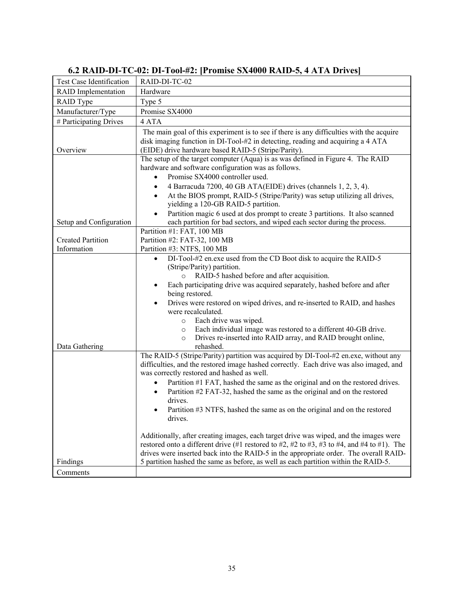| Test Case Identification                | RAID-DI-TC-02                                                                                                                                                                                                                                                                                                                                                                                                                                                                                                                                                                                                                                                                                                                                                                                                                                   |
|-----------------------------------------|-------------------------------------------------------------------------------------------------------------------------------------------------------------------------------------------------------------------------------------------------------------------------------------------------------------------------------------------------------------------------------------------------------------------------------------------------------------------------------------------------------------------------------------------------------------------------------------------------------------------------------------------------------------------------------------------------------------------------------------------------------------------------------------------------------------------------------------------------|
| <b>RAID</b> Implementation              | Hardware                                                                                                                                                                                                                                                                                                                                                                                                                                                                                                                                                                                                                                                                                                                                                                                                                                        |
| RAID Type                               | Type 5                                                                                                                                                                                                                                                                                                                                                                                                                                                                                                                                                                                                                                                                                                                                                                                                                                          |
| Manufacturer/Type                       | Promise SX4000                                                                                                                                                                                                                                                                                                                                                                                                                                                                                                                                                                                                                                                                                                                                                                                                                                  |
| # Participating Drives                  | 4 ATA                                                                                                                                                                                                                                                                                                                                                                                                                                                                                                                                                                                                                                                                                                                                                                                                                                           |
| Overview                                | The main goal of this experiment is to see if there is any difficulties with the acquire<br>disk imaging function in DI-Tool-#2 in detecting, reading and acquiring a 4 ATA<br>(EIDE) drive hardware based RAID-5 (Stripe/Parity).                                                                                                                                                                                                                                                                                                                                                                                                                                                                                                                                                                                                              |
|                                         | The setup of the target computer (Aqua) is as was defined in Figure 4. The RAID<br>hardware and software configuration was as follows.<br>Promise SX4000 controller used.                                                                                                                                                                                                                                                                                                                                                                                                                                                                                                                                                                                                                                                                       |
|                                         | 4 Barracuda 7200, 40 GB ATA(EIDE) drives (channels 1, 2, 3, 4).<br>$\bullet$<br>At the BIOS prompt, RAID-5 (Stripe/Parity) was setup utilizing all drives,<br>yielding a 120-GB RAID-5 partition.<br>Partition magic 6 used at dos prompt to create 3 partitions. It also scanned                                                                                                                                                                                                                                                                                                                                                                                                                                                                                                                                                               |
| Setup and Configuration                 | each partition for bad sectors, and wiped each sector during the process.                                                                                                                                                                                                                                                                                                                                                                                                                                                                                                                                                                                                                                                                                                                                                                       |
| <b>Created Partition</b><br>Information | Partition #1: FAT, 100 MB<br>Partition #2: FAT-32, 100 MB<br>Partition #3: NTFS, 100 MB                                                                                                                                                                                                                                                                                                                                                                                                                                                                                                                                                                                                                                                                                                                                                         |
| Data Gathering                          | DI-Tool-#2 en.exe used from the CD Boot disk to acquire the RAID-5<br>$\bullet$<br>(Stripe/Parity) partition.<br>RAID-5 hashed before and after acquisition.<br>$\circ$<br>Each participating drive was acquired separately, hashed before and after<br>$\bullet$<br>being restored.<br>Drives were restored on wiped drives, and re-inserted to RAID, and hashes<br>$\bullet$<br>were recalculated.<br>Each drive was wiped.<br>$\circ$<br>Each individual image was restored to a different 40-GB drive.<br>$\circ$<br>Drives re-inserted into RAID array, and RAID brought online,<br>$\circ$<br>rehashed.                                                                                                                                                                                                                                   |
|                                         | The RAID-5 (Stripe/Parity) partition was acquired by DI-Tool-#2 en.exe, without any<br>difficulties, and the restored image hashed correctly. Each drive was also imaged, and<br>was correctly restored and hashed as well.<br>Partition #1 FAT, hashed the same as the original and on the restored drives.<br>Partition #2 FAT-32, hashed the same as the original and on the restored<br>$\bullet$<br>drives.<br>Partition #3 NTFS, hashed the same as on the original and on the restored<br>drives.<br>Additionally, after creating images, each target drive was wiped, and the images were<br>restored onto a different drive $(\#1 \text{ restored to } \#2, \#2 \text{ to } \#3, \#3 \text{ to } \#4, \text{ and } \#4 \text{ to } \#1).$ The<br>drives were inserted back into the RAID-5 in the appropriate order. The overall RAID- |
| Findings                                | 5 partition hashed the same as before, as well as each partition within the RAID-5.                                                                                                                                                                                                                                                                                                                                                                                                                                                                                                                                                                                                                                                                                                                                                             |
| Comments                                |                                                                                                                                                                                                                                                                                                                                                                                                                                                                                                                                                                                                                                                                                                                                                                                                                                                 |

## **6.2 RAID-DI-TC-02: DI-Tool-#2: [Promise SX4000 RAID-5, 4 ATA Drives]**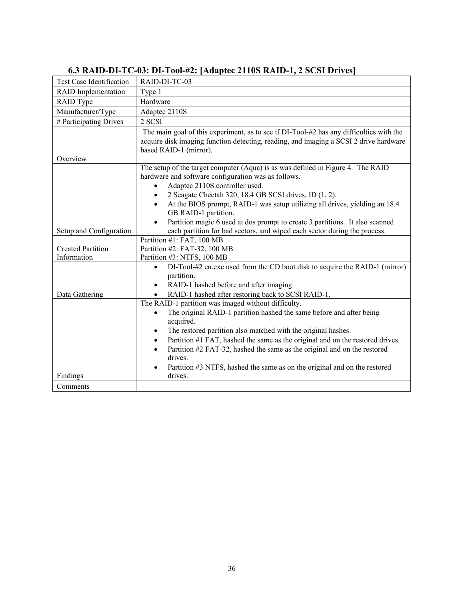| <b>Test Case Identification</b> | RAID-DI-TC-03                                                                                                                                                                                              |
|---------------------------------|------------------------------------------------------------------------------------------------------------------------------------------------------------------------------------------------------------|
| <b>RAID</b> Implementation      | Type 1                                                                                                                                                                                                     |
| RAID Type                       | Hardware                                                                                                                                                                                                   |
| Manufacturer/Type               | Adaptec 2110S                                                                                                                                                                                              |
| # Participating Drives          | 2 SCSI                                                                                                                                                                                                     |
| Overview                        | The main goal of this experiment, as to see if DI-Tool-#2 has any difficulties with the<br>acquire disk imaging function detecting, reading, and imaging a SCSI 2 drive hardware<br>based RAID-1 (mirror). |
|                                 | The setup of the target computer (Aqua) is as was defined in Figure 4. The RAID<br>hardware and software configuration was as follows.<br>Adaptec 2110S controller used.                                   |
|                                 | 2 Seagate Cheetah 320, 18.4 GB SCSI drives, ID (1, 2).<br>$\bullet$                                                                                                                                        |
|                                 | At the BIOS prompt, RAID-1 was setup utilizing all drives, yielding an 18.4<br>$\bullet$                                                                                                                   |
|                                 | GB RAID-1 partition.                                                                                                                                                                                       |
|                                 | Partition magic 6 used at dos prompt to create 3 partitions. It also scanned                                                                                                                               |
| Setup and Configuration         | each partition for bad sectors, and wiped each sector during the process.                                                                                                                                  |
|                                 | Partition #1: FAT, 100 MB                                                                                                                                                                                  |
| <b>Created Partition</b>        | Partition #2: FAT-32, 100 MB                                                                                                                                                                               |
| Information                     | Partition #3: NTFS, 100 MB                                                                                                                                                                                 |
|                                 | DI-Tool-#2 en.exe used from the CD boot disk to acquire the RAID-1 (mirror)<br>$\bullet$                                                                                                                   |
|                                 | partition.                                                                                                                                                                                                 |
|                                 | RAID-1 hashed before and after imaging.<br>$\bullet$                                                                                                                                                       |
| Data Gathering                  | RAID-1 hashed after restoring back to SCSI RAID-1.                                                                                                                                                         |
|                                 | The RAID-1 partition was imaged without difficulty.                                                                                                                                                        |
|                                 | The original RAID-1 partition hashed the same before and after being<br>$\bullet$<br>acquired.                                                                                                             |
|                                 | The restored partition also matched with the original hashes.<br>$\bullet$                                                                                                                                 |
|                                 | Partition #1 FAT, hashed the same as the original and on the restored drives.<br>$\bullet$                                                                                                                 |
|                                 | Partition #2 FAT-32, hashed the same as the original and on the restored<br>$\bullet$                                                                                                                      |
|                                 | drives.                                                                                                                                                                                                    |
|                                 | Partition #3 NTFS, hashed the same as on the original and on the restored                                                                                                                                  |
| Findings                        | drives.                                                                                                                                                                                                    |
| Comments                        |                                                                                                                                                                                                            |

## **6.3 RAID-DI-TC-03: DI-Tool-#2: [Adaptec 2110S RAID-1, 2 SCSI Drives]**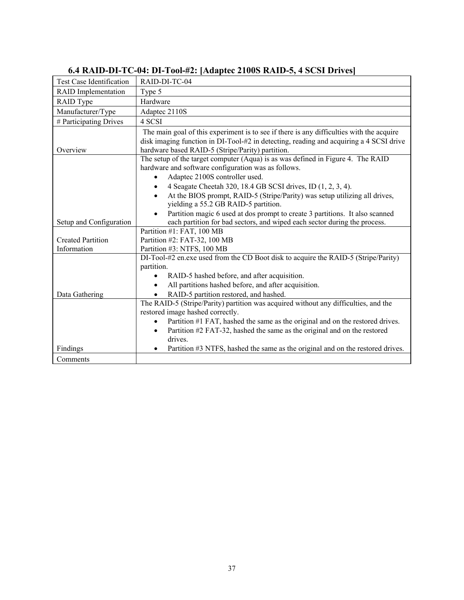| <b>Test Case Identification</b>         | RAID-DI-TC-04                                                                                                                                                                                                                                                                                                                                                  |
|-----------------------------------------|----------------------------------------------------------------------------------------------------------------------------------------------------------------------------------------------------------------------------------------------------------------------------------------------------------------------------------------------------------------|
| <b>RAID</b> Implementation              | Type 5                                                                                                                                                                                                                                                                                                                                                         |
| RAID Type                               | Hardware                                                                                                                                                                                                                                                                                                                                                       |
| Manufacturer/Type                       | Adaptec 2110S                                                                                                                                                                                                                                                                                                                                                  |
| # Participating Drives                  | 4 SCSI                                                                                                                                                                                                                                                                                                                                                         |
| Overview                                | The main goal of this experiment is to see if there is any difficulties with the acquire<br>disk imaging function in DI-Tool-#2 in detecting, reading and acquiring a 4 SCSI drive<br>hardware based RAID-5 (Stripe/Parity) partition.                                                                                                                         |
|                                         | The setup of the target computer (Aqua) is as was defined in Figure 4. The RAID<br>hardware and software configuration was as follows.<br>Adaptec 2100S controller used.<br>4 Seagate Cheetah 320, 18.4 GB SCSI drives, ID (1, 2, 3, 4).<br>At the BIOS prompt, RAID-5 (Stripe/Parity) was setup utilizing all drives,<br>yielding a 55.2 GB RAID-5 partition. |
| Setup and Configuration                 | Partition magic 6 used at dos prompt to create 3 partitions. It also scanned<br>each partition for bad sectors, and wiped each sector during the process.                                                                                                                                                                                                      |
| <b>Created Partition</b><br>Information | Partition #1: FAT, 100 MB<br>Partition #2: FAT-32, 100 MB<br>Partition #3: NTFS, 100 MB                                                                                                                                                                                                                                                                        |
| Data Gathering                          | DI-Tool-#2 en.exe used from the CD Boot disk to acquire the RAID-5 (Stripe/Parity)<br>partition.<br>RAID-5 hashed before, and after acquisition.<br>All partitions hashed before, and after acquisition.<br>$\bullet$<br>RAID-5 partition restored, and hashed.                                                                                                |
|                                         | The RAID-5 (Stripe/Parity) partition was acquired without any difficulties, and the<br>restored image hashed correctly.<br>Partition #1 FAT, hashed the same as the original and on the restored drives.<br>$\bullet$<br>Partition #2 FAT-32, hashed the same as the original and on the restored<br>$\bullet$<br>drives.                                      |
| Findings                                | Partition #3 NTFS, hashed the same as the original and on the restored drives.<br>$\bullet$                                                                                                                                                                                                                                                                    |
| Comments                                |                                                                                                                                                                                                                                                                                                                                                                |

## **6.4 RAID-DI-TC-04: DI-Tool-#2: [Adaptec 2100S RAID-5, 4 SCSI Drives]**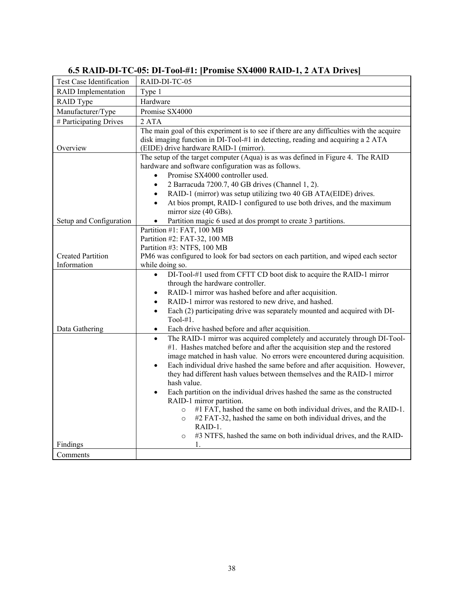| Test Case Identification                | RAID-DI-TC-05                                                                                                                                                                                                                                                                                                                                                                                                                                                                                                          |
|-----------------------------------------|------------------------------------------------------------------------------------------------------------------------------------------------------------------------------------------------------------------------------------------------------------------------------------------------------------------------------------------------------------------------------------------------------------------------------------------------------------------------------------------------------------------------|
| <b>RAID</b> Implementation              | Type 1                                                                                                                                                                                                                                                                                                                                                                                                                                                                                                                 |
| RAID Type                               | Hardware                                                                                                                                                                                                                                                                                                                                                                                                                                                                                                               |
| Manufacturer/Type                       | Promise SX4000                                                                                                                                                                                                                                                                                                                                                                                                                                                                                                         |
| # Participating Drives                  | 2 ATA                                                                                                                                                                                                                                                                                                                                                                                                                                                                                                                  |
| Overview                                | The main goal of this experiment is to see if there are any difficulties with the acquire<br>disk imaging function in DI-Tool-#1 in detecting, reading and acquiring a 2 ATA<br>(EIDE) drive hardware RAID-1 (mirror).                                                                                                                                                                                                                                                                                                 |
| Setup and Configuration                 | The setup of the target computer (Aqua) is as was defined in Figure 4. The RAID<br>hardware and software configuration was as follows.<br>Promise SX4000 controller used.<br>2 Barracuda 7200.7, 40 GB drives (Channel 1, 2).<br>$\bullet$<br>RAID-1 (mirror) was setup utilizing two 40 GB ATA(EIDE) drives.<br>$\bullet$<br>At bios prompt, RAID-1 configured to use both drives, and the maximum<br>$\bullet$<br>mirror size (40 GBs).<br>Partition magic 6 used at dos prompt to create 3 partitions.<br>$\bullet$ |
|                                         | Partition #1: FAT, 100 MB                                                                                                                                                                                                                                                                                                                                                                                                                                                                                              |
| <b>Created Partition</b><br>Information | Partition #2: FAT-32, 100 MB<br>Partition #3: NTFS, 100 MB<br>PM6 was configured to look for bad sectors on each partition, and wiped each sector<br>while doing so.                                                                                                                                                                                                                                                                                                                                                   |
|                                         | DI-Tool-#1 used from CFTT CD boot disk to acquire the RAID-1 mirror<br>$\bullet$                                                                                                                                                                                                                                                                                                                                                                                                                                       |
|                                         | through the hardware controller.                                                                                                                                                                                                                                                                                                                                                                                                                                                                                       |
|                                         | RAID-1 mirror was hashed before and after acquisition.<br>$\bullet$                                                                                                                                                                                                                                                                                                                                                                                                                                                    |
|                                         | RAID-1 mirror was restored to new drive, and hashed.<br>$\bullet$                                                                                                                                                                                                                                                                                                                                                                                                                                                      |
|                                         | Each (2) participating drive was separately mounted and acquired with DI-<br>$\bullet$<br>Tool- $#1$ .                                                                                                                                                                                                                                                                                                                                                                                                                 |
| Data Gathering                          | Each drive hashed before and after acquisition.<br>$\bullet$                                                                                                                                                                                                                                                                                                                                                                                                                                                           |
|                                         | The RAID-1 mirror was acquired completely and accurately through DI-Tool-<br>$\bullet$<br>#1. Hashes matched before and after the acquisition step and the restored<br>image matched in hash value. No errors were encountered during acquisition.<br>Each individual drive hashed the same before and after acquisition. However,<br>$\bullet$<br>they had different hash values between themselves and the RAID-1 mirror<br>hash value.                                                                              |
|                                         | Each partition on the individual drives hashed the same as the constructed<br>$\bullet$                                                                                                                                                                                                                                                                                                                                                                                                                                |
|                                         | RAID-1 mirror partition.<br>#1 FAT, hashed the same on both individual drives, and the RAID-1.<br>$\circ$<br>#2 FAT-32, hashed the same on both individual drives, and the<br>$\circ$<br>RAID-1.<br>#3 NTFS, hashed the same on both individual drives, and the RAID-<br>$\circ$                                                                                                                                                                                                                                       |
| Findings                                | 1.                                                                                                                                                                                                                                                                                                                                                                                                                                                                                                                     |
| Comments                                |                                                                                                                                                                                                                                                                                                                                                                                                                                                                                                                        |

## **6.5 RAID-DI-TC-05: DI-Tool-#1: [Promise SX4000 RAID-1, 2 ATA Drives]**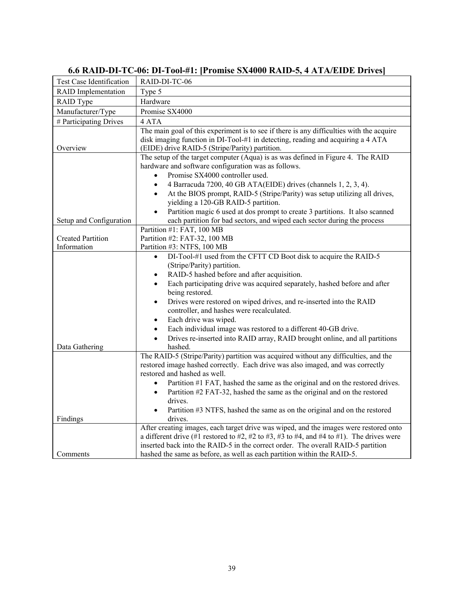| Test Case Identification                | RAID-DI-TC-06                                                                                                                                                                                                                                                                                                                                                                                                                                                                                                                                                                                                                        |
|-----------------------------------------|--------------------------------------------------------------------------------------------------------------------------------------------------------------------------------------------------------------------------------------------------------------------------------------------------------------------------------------------------------------------------------------------------------------------------------------------------------------------------------------------------------------------------------------------------------------------------------------------------------------------------------------|
| <b>RAID</b> Implementation              | Type 5                                                                                                                                                                                                                                                                                                                                                                                                                                                                                                                                                                                                                               |
| RAID Type                               | Hardware                                                                                                                                                                                                                                                                                                                                                                                                                                                                                                                                                                                                                             |
| Manufacturer/Type                       | Promise SX4000                                                                                                                                                                                                                                                                                                                                                                                                                                                                                                                                                                                                                       |
| # Participating Drives                  | 4 ATA                                                                                                                                                                                                                                                                                                                                                                                                                                                                                                                                                                                                                                |
| Overview                                | The main goal of this experiment is to see if there is any difficulties with the acquire<br>disk imaging function in DI-Tool-#1 in detecting, reading and acquiring a 4 ATA<br>(EIDE) drive RAID-5 (Stripe/Parity) partition.                                                                                                                                                                                                                                                                                                                                                                                                        |
|                                         | The setup of the target computer (Aqua) is as was defined in Figure 4. The RAID<br>hardware and software configuration was as follows.<br>Promise SX4000 controller used.<br>4 Barracuda 7200, 40 GB ATA(EIDE) drives (channels 1, 2, 3, 4).<br>$\bullet$<br>At the BIOS prompt, RAID-5 (Stripe/Parity) was setup utilizing all drives,<br>$\bullet$<br>yielding a 120-GB RAID-5 partition.<br>Partition magic 6 used at dos prompt to create 3 partitions. It also scanned<br>$\bullet$<br>each partition for bad sectors, and wiped each sector during the process                                                                 |
| Setup and Configuration                 | Partition #1: FAT, 100 MB                                                                                                                                                                                                                                                                                                                                                                                                                                                                                                                                                                                                            |
| <b>Created Partition</b><br>Information | Partition #2: FAT-32, 100 MB<br>Partition #3: NTFS, 100 MB                                                                                                                                                                                                                                                                                                                                                                                                                                                                                                                                                                           |
| Data Gathering                          | DI-Tool-#1 used from the CFTT CD Boot disk to acquire the RAID-5<br>$\bullet$<br>(Stripe/Parity) partition.<br>RAID-5 hashed before and after acquisition.<br>$\bullet$<br>Each participating drive was acquired separately, hashed before and after<br>$\bullet$<br>being restored.<br>Drives were restored on wiped drives, and re-inserted into the RAID<br>$\bullet$<br>controller, and hashes were recalculated.<br>Each drive was wiped.<br>$\bullet$<br>Each individual image was restored to a different 40-GB drive.<br>$\bullet$<br>Drives re-inserted into RAID array, RAID brought online, and all partitions<br>hashed. |
|                                         | The RAID-5 (Stripe/Parity) partition was acquired without any difficulties, and the<br>restored image hashed correctly. Each drive was also imaged, and was correctly<br>restored and hashed as well.<br>Partition #1 FAT, hashed the same as the original and on the restored drives.<br>$\bullet$<br>Partition #2 FAT-32, hashed the same as the original and on the restored<br>$\bullet$<br>drives.<br>Partition #3 NTFS, hashed the same as on the original and on the restored<br>$\bullet$                                                                                                                                    |
| Findings                                | drives.                                                                                                                                                                                                                                                                                                                                                                                                                                                                                                                                                                                                                              |
| Comments                                | After creating images, each target drive was wiped, and the images were restored onto<br>a different drive (#1 restored to #2, #2 to #3, #3 to #4, and #4 to #1). The drives were<br>inserted back into the RAID-5 in the correct order. The overall RAID-5 partition<br>hashed the same as before, as well as each partition within the RAID-5.                                                                                                                                                                                                                                                                                     |
|                                         |                                                                                                                                                                                                                                                                                                                                                                                                                                                                                                                                                                                                                                      |

## **6.6 RAID-DI-TC-06: DI-Tool-#1: [Promise SX4000 RAID-5, 4 ATA/EIDE Drives]**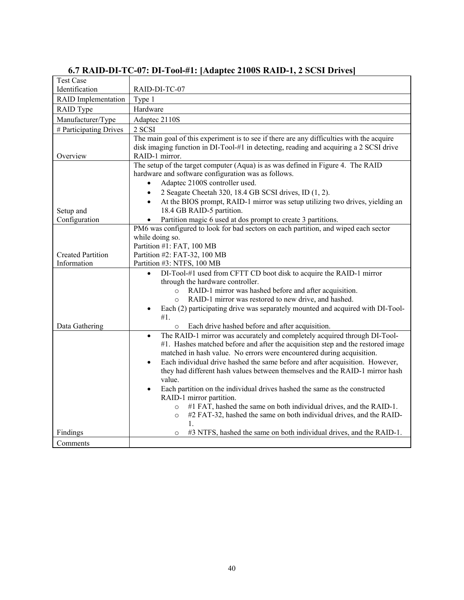| <b>Test Case</b><br>Identification | RAID-DI-TC-07                                                                                                                                        |
|------------------------------------|------------------------------------------------------------------------------------------------------------------------------------------------------|
| <b>RAID</b> Implementation         | Type 1                                                                                                                                               |
| RAID Type                          | Hardware                                                                                                                                             |
| Manufacturer/Type                  | Adaptec 2110S                                                                                                                                        |
| # Participating Drives             | 2 SCSI                                                                                                                                               |
|                                    | The main goal of this experiment is to see if there are any difficulties with the acquire                                                            |
|                                    | disk imaging function in DI-Tool-#1 in detecting, reading and acquiring a 2 SCSI drive                                                               |
| Overview                           | RAID-1 mirror.                                                                                                                                       |
|                                    | The setup of the target computer (Aqua) is as was defined in Figure 4. The RAID                                                                      |
|                                    | hardware and software configuration was as follows.                                                                                                  |
|                                    | Adaptec 2100S controller used.<br>$\bullet$                                                                                                          |
|                                    | 2 Seagate Cheetah 320, 18.4 GB SCSI drives, ID (1, 2).<br>$\bullet$                                                                                  |
|                                    | At the BIOS prompt, RAID-1 mirror was setup utilizing two drives, yielding an<br>$\bullet$                                                           |
| Setup and                          | 18.4 GB RAID-5 partition.                                                                                                                            |
| Configuration                      | Partition magic 6 used at dos prompt to create 3 partitions.                                                                                         |
|                                    | PM6 was configured to look for bad sectors on each partition, and wiped each sector                                                                  |
|                                    | while doing so.<br>Partition #1: FAT, 100 MB                                                                                                         |
| <b>Created Partition</b>           | Partition #2: FAT-32, 100 MB                                                                                                                         |
| Information                        | Partition #3: NTFS, 100 MB                                                                                                                           |
|                                    | DI-Tool-#1 used from CFTT CD boot disk to acquire the RAID-1 mirror<br>$\bullet$                                                                     |
|                                    | through the hardware controller.                                                                                                                     |
|                                    | RAID-1 mirror was hashed before and after acquisition.<br>$\circ$                                                                                    |
|                                    | RAID-1 mirror was restored to new drive, and hashed.<br>$\circ$                                                                                      |
|                                    | Each (2) participating drive was separately mounted and acquired with DI-Tool-                                                                       |
|                                    | #1.                                                                                                                                                  |
| Data Gathering                     | Each drive hashed before and after acquisition.<br>$\circ$                                                                                           |
|                                    | The RAID-1 mirror was accurately and completely acquired through DI-Tool-<br>$\bullet$                                                               |
|                                    | #1. Hashes matched before and after the acquisition step and the restored image                                                                      |
|                                    | matched in hash value. No errors were encountered during acquisition.                                                                                |
|                                    | Each individual drive hashed the same before and after acquisition. However,<br>$\bullet$                                                            |
|                                    | they had different hash values between themselves and the RAID-1 mirror hash                                                                         |
|                                    | value.                                                                                                                                               |
|                                    | Each partition on the individual drives hashed the same as the constructed<br>$\bullet$                                                              |
|                                    | RAID-1 mirror partition.                                                                                                                             |
|                                    | #1 FAT, hashed the same on both individual drives, and the RAID-1.<br>$\circ$<br>#2 FAT-32, hashed the same on both individual drives, and the RAID- |
|                                    | $\circ$<br>1.                                                                                                                                        |
| Findings                           | #3 NTFS, hashed the same on both individual drives, and the RAID-1.<br>$\circ$                                                                       |
| Comments                           |                                                                                                                                                      |

## **6.7 RAID-DI-TC-07: DI-Tool-#1: [Adaptec 2100S RAID-1, 2 SCSI Drives]**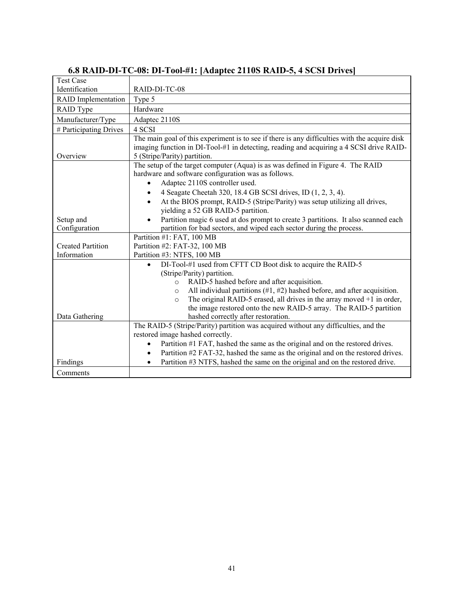| <b>Test Case</b>           |                                                                                               |
|----------------------------|-----------------------------------------------------------------------------------------------|
| Identification             | RAID-DI-TC-08                                                                                 |
| <b>RAID</b> Implementation | Type 5                                                                                        |
| RAID Type                  | Hardware                                                                                      |
| Manufacturer/Type          | Adaptec 2110S                                                                                 |
| # Participating Drives     | 4 SCSI                                                                                        |
|                            | The main goal of this experiment is to see if there is any difficulties with the acquire disk |
|                            | imaging function in DI-Tool-#1 in detecting, reading and acquiring a 4 SCSI drive RAID-       |
| Overview                   | 5 (Stripe/Parity) partition.                                                                  |
|                            | The setup of the target computer (Aqua) is as was defined in Figure 4. The RAID               |
|                            | hardware and software configuration was as follows.                                           |
|                            | Adaptec 2110S controller used.                                                                |
|                            | 4 Seagate Cheetah 320, 18.4 GB SCSI drives, ID (1, 2, 3, 4).<br>$\bullet$                     |
|                            | At the BIOS prompt, RAID-5 (Stripe/Parity) was setup utilizing all drives,                    |
|                            | yielding a 52 GB RAID-5 partition.                                                            |
| Setup and                  | Partition magic 6 used at dos prompt to create 3 partitions. It also scanned each             |
| Configuration              | partition for bad sectors, and wiped each sector during the process.                          |
|                            | Partition #1: FAT, 100 MB                                                                     |
| <b>Created Partition</b>   | Partition #2: FAT-32, 100 MB                                                                  |
| Information                | Partition #3: NTFS, 100 MB                                                                    |
|                            | DI-Tool-#1 used from CFTT CD Boot disk to acquire the RAID-5                                  |
|                            | (Stripe/Parity) partition.                                                                    |
|                            | RAID-5 hashed before and after acquisition.<br>$\circ$                                        |
|                            | All individual partitions $(\#1, \#2)$ hashed before, and after acquisition.<br>$\circ$       |
|                            | The original RAID-5 erased, all drives in the array moved $+1$ in order,<br>$\circ$           |
|                            | the image restored onto the new RAID-5 array. The RAID-5 partition                            |
| Data Gathering             | hashed correctly after restoration.                                                           |
|                            | The RAID-5 (Stripe/Parity) partition was acquired without any difficulties, and the           |
|                            | restored image hashed correctly.                                                              |
|                            | Partition #1 FAT, hashed the same as the original and on the restored drives.<br>$\bullet$    |
|                            | Partition #2 FAT-32, hashed the same as the original and on the restored drives.<br>$\bullet$ |
| Findings                   | Partition #3 NTFS, hashed the same on the original and on the restored drive.<br>٠            |
| Comments                   |                                                                                               |

## **6.8 RAID-DI-TC-08: DI-Tool-#1: [Adaptec 2110S RAID-5, 4 SCSI Drives]**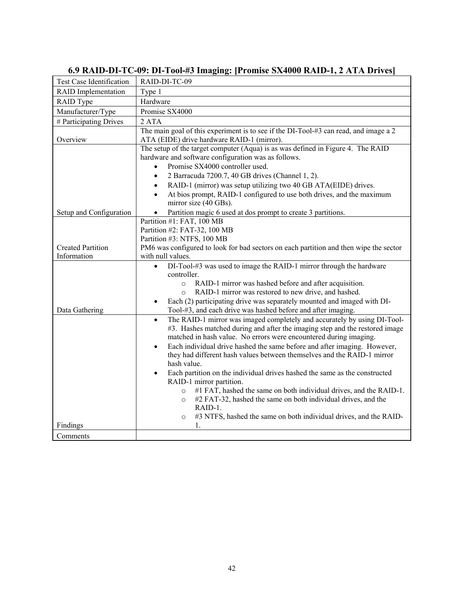| Test Case Identification   | RAID-DI-TC-09                                                                           |
|----------------------------|-----------------------------------------------------------------------------------------|
| <b>RAID</b> Implementation | Type 1                                                                                  |
| RAID Type                  | Hardware                                                                                |
| Manufacturer/Type          | Promise SX4000                                                                          |
| # Participating Drives     | 2 ATA                                                                                   |
|                            | The main goal of this experiment is to see if the DI-Tool-#3 can read, and image a 2    |
| Overview                   | ATA (EIDE) drive hardware RAID-1 (mirror).                                              |
|                            | The setup of the target computer (Aqua) is as was defined in Figure 4. The RAID         |
|                            | hardware and software configuration was as follows.                                     |
|                            | Promise SX4000 controller used.<br>$\bullet$                                            |
|                            | 2 Barracuda 7200.7, 40 GB drives (Channel 1, 2).<br>$\bullet$                           |
|                            | RAID-1 (mirror) was setup utilizing two 40 GB ATA(EIDE) drives.<br>$\bullet$            |
|                            | At bios prompt, RAID-1 configured to use both drives, and the maximum<br>$\bullet$      |
|                            | mirror size (40 GBs).                                                                   |
| Setup and Configuration    | Partition magic 6 used at dos prompt to create 3 partitions.<br>$\bullet$               |
|                            | Partition #1: FAT, 100 MB                                                               |
|                            | Partition #2: FAT-32, 100 MB                                                            |
|                            | Partition #3: NTFS, 100 MB                                                              |
| <b>Created Partition</b>   | PM6 was configured to look for bad sectors on each partition and then wipe the sector   |
| Information                | with null values.                                                                       |
|                            | DI-Tool-#3 was used to image the RAID-1 mirror through the hardware<br>$\bullet$        |
|                            | controller.                                                                             |
|                            | o RAID-1 mirror was hashed before and after acquisition.                                |
|                            | RAID-1 mirror was restored to new drive, and hashed.<br>$\circ$                         |
|                            | Each (2) participating drive was separately mounted and imaged with DI-<br>$\bullet$    |
| Data Gathering             | Tool-#3, and each drive was hashed before and after imaging.                            |
|                            | The RAID-1 mirror was imaged completely and accurately by using DI-Tool-<br>$\bullet$   |
|                            | #3. Hashes matched during and after the imaging step and the restored image             |
|                            | matched in hash value. No errors were encountered during imaging.                       |
|                            | Each individual drive hashed the same before and after imaging. However,<br>$\bullet$   |
|                            | they had different hash values between themselves and the RAID-1 mirror                 |
|                            | hash value.                                                                             |
|                            | Each partition on the individual drives hashed the same as the constructed<br>$\bullet$ |
|                            | RAID-1 mirror partition.                                                                |
|                            | #1 FAT, hashed the same on both individual drives, and the RAID-1.<br>$\circ$           |
|                            | #2 FAT-32, hashed the same on both individual drives, and the<br>$\circ$                |
|                            | RAID-1.                                                                                 |
|                            | #3 NTFS, hashed the same on both individual drives, and the RAID-<br>$\circ$            |
| Findings                   | 1.                                                                                      |
| Comments                   |                                                                                         |

## **6.9 RAID-DI-TC-09: DI-Tool-#3 Imaging: [Promise SX4000 RAID-1, 2 ATA Drives]**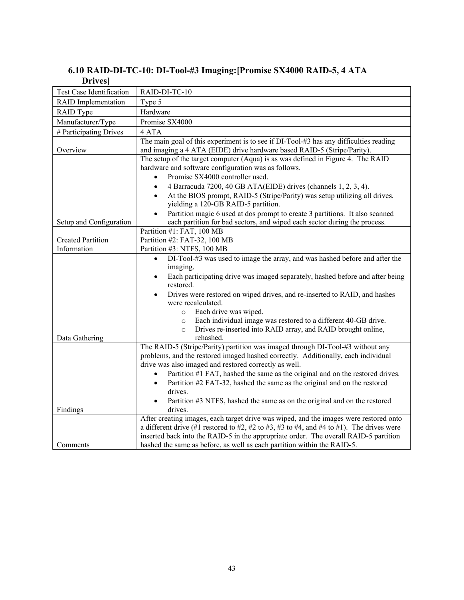#### **6.10 RAID-DI-TC-10: DI-Tool-#3 Imaging:[Promise SX4000 RAID-5, 4 ATA Drives]**

| DIIVUS                     |                                                                                                                                                                        |
|----------------------------|------------------------------------------------------------------------------------------------------------------------------------------------------------------------|
| Test Case Identification   | RAID-DI-TC-10                                                                                                                                                          |
| <b>RAID</b> Implementation | Type 5                                                                                                                                                                 |
| RAID Type                  | Hardware                                                                                                                                                               |
| Manufacturer/Type          | Promise SX4000                                                                                                                                                         |
| # Participating Drives     | 4 ATA                                                                                                                                                                  |
|                            | The main goal of this experiment is to see if DI-Tool-#3 has any difficulties reading                                                                                  |
| Overview                   | and imaging a 4 ATA (EIDE) drive hardware based RAID-5 (Stripe/Parity).                                                                                                |
|                            | The setup of the target computer (Aqua) is as was defined in Figure 4. The RAID                                                                                        |
|                            | hardware and software configuration was as follows.                                                                                                                    |
|                            | Promise SX4000 controller used.                                                                                                                                        |
|                            | 4 Barracuda 7200, 40 GB ATA(EIDE) drives (channels 1, 2, 3, 4).<br>$\bullet$                                                                                           |
|                            | At the BIOS prompt, RAID-5 (Stripe/Parity) was setup utilizing all drives,<br>$\bullet$                                                                                |
|                            | yielding a 120-GB RAID-5 partition.                                                                                                                                    |
| Setup and Configuration    | Partition magic 6 used at dos prompt to create 3 partitions. It also scanned<br>$\bullet$<br>each partition for bad sectors, and wiped each sector during the process. |
|                            | Partition #1: FAT, 100 MB                                                                                                                                              |
| <b>Created Partition</b>   | Partition #2: FAT-32, 100 MB                                                                                                                                           |
| Information                | Partition #3: NTFS, 100 MB                                                                                                                                             |
|                            | DI-Tool-#3 was used to image the array, and was hashed before and after the<br>$\bullet$                                                                               |
|                            | imaging.                                                                                                                                                               |
|                            | Each participating drive was imaged separately, hashed before and after being<br>$\bullet$                                                                             |
|                            | restored.                                                                                                                                                              |
|                            | Drives were restored on wiped drives, and re-inserted to RAID, and hashes<br>$\bullet$                                                                                 |
|                            | were recalculated.                                                                                                                                                     |
|                            | Each drive was wiped.<br>$\circ$                                                                                                                                       |
|                            | Each individual image was restored to a different 40-GB drive.<br>$\circ$                                                                                              |
|                            | Drives re-inserted into RAID array, and RAID brought online,<br>$\circ$                                                                                                |
| Data Gathering             | rehashed.                                                                                                                                                              |
|                            | The RAID-5 (Stripe/Parity) partition was imaged through DI-Tool-#3 without any                                                                                         |
|                            | problems, and the restored imaged hashed correctly. Additionally, each individual<br>drive was also imaged and restored correctly as well.                             |
|                            | Partition #1 FAT, hashed the same as the original and on the restored drives.<br>$\bullet$                                                                             |
|                            | Partition #2 FAT-32, hashed the same as the original and on the restored<br>$\bullet$                                                                                  |
|                            | drives.                                                                                                                                                                |
|                            | Partition #3 NTFS, hashed the same as on the original and on the restored                                                                                              |
| Findings                   | drives.                                                                                                                                                                |
|                            | After creating images, each target drive was wiped, and the images were restored onto                                                                                  |
|                            | a different drive (#1 restored to #2, #2 to #3, #3 to #4, and #4 to #1). The drives were                                                                               |
|                            | inserted back into the RAID-5 in the appropriate order. The overall RAID-5 partition                                                                                   |
| Comments                   | hashed the same as before, as well as each partition within the RAID-5.                                                                                                |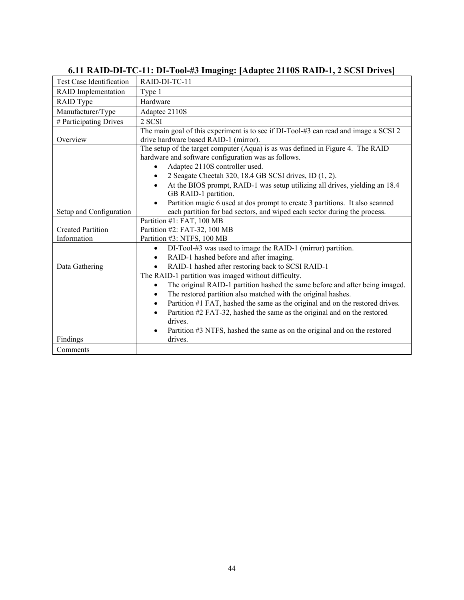| <b>Test Case Identification</b> | RAID-DI-TC-11                                                                              |
|---------------------------------|--------------------------------------------------------------------------------------------|
| <b>RAID</b> Implementation      | Type 1                                                                                     |
| RAID Type                       | Hardware                                                                                   |
| Manufacturer/Type               | Adaptec 2110S                                                                              |
| # Participating Drives          | 2 SCSI                                                                                     |
|                                 | The main goal of this experiment is to see if DI-Tool-#3 can read and image a SCSI 2       |
| Overview                        | drive hardware based RAID-1 (mirror).                                                      |
|                                 | The setup of the target computer (Aqua) is as was defined in Figure 4. The RAID            |
|                                 | hardware and software configuration was as follows.                                        |
|                                 | Adaptec 2110S controller used.                                                             |
|                                 | 2 Seagate Cheetah 320, 18.4 GB SCSI drives, ID (1, 2).                                     |
|                                 | At the BIOS prompt, RAID-1 was setup utilizing all drives, yielding an 18.4<br>$\bullet$   |
|                                 | GB RAID-1 partition.                                                                       |
|                                 | Partition magic 6 used at dos prompt to create 3 partitions. It also scanned               |
| Setup and Configuration         | each partition for bad sectors, and wiped each sector during the process.                  |
|                                 | Partition #1: FAT, 100 MB                                                                  |
| <b>Created Partition</b>        | Partition #2: FAT-32, 100 MB                                                               |
| Information                     | Partition #3: NTFS, 100 MB                                                                 |
|                                 | DI-Tool-#3 was used to image the RAID-1 (mirror) partition.<br>$\bullet$                   |
|                                 | RAID-1 hashed before and after imaging.<br>$\bullet$                                       |
| Data Gathering                  | RAID-1 hashed after restoring back to SCSI RAID-1                                          |
|                                 | The RAID-1 partition was imaged without difficulty.                                        |
|                                 | The original RAID-1 partition hashed the same before and after being imaged.<br>$\bullet$  |
|                                 | The restored partition also matched with the original hashes.<br>$\bullet$                 |
|                                 | Partition #1 FAT, hashed the same as the original and on the restored drives.<br>$\bullet$ |
|                                 | Partition #2 FAT-32, hashed the same as the original and on the restored<br>$\bullet$      |
|                                 | drives.                                                                                    |
|                                 | Partition #3 NTFS, hashed the same as on the original and on the restored<br>$\bullet$     |
| Findings                        | drives.                                                                                    |
| Comments                        |                                                                                            |

## **6.11 RAID-DI-TC-11: DI-Tool-#3 Imaging: [Adaptec 2110S RAID-1, 2 SCSI Drives]**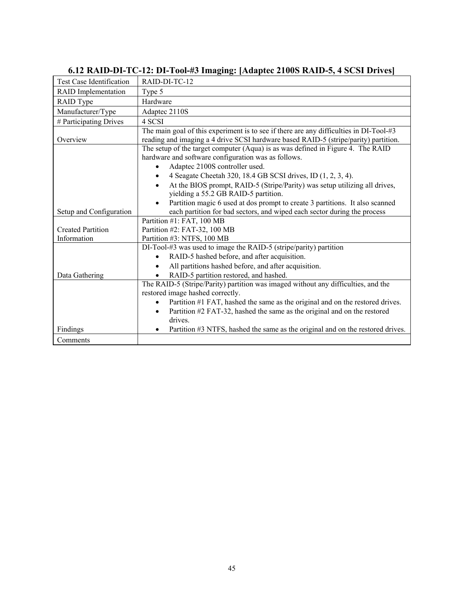| <b>Test Case Identification</b> | RAID-DI-TC-12                                                                                                                                                                 |
|---------------------------------|-------------------------------------------------------------------------------------------------------------------------------------------------------------------------------|
| <b>RAID</b> Implementation      | Type 5                                                                                                                                                                        |
| RAID Type                       | Hardware                                                                                                                                                                      |
| Manufacturer/Type               | Adaptec 2110S                                                                                                                                                                 |
| # Participating Drives          | 4 SCSI                                                                                                                                                                        |
| Overview                        | The main goal of this experiment is to see if there are any difficulties in DI-Tool-#3<br>reading and imaging a 4 drive SCSI hardware based RAID-5 (stripe/parity) partition. |
|                                 | The setup of the target computer (Aqua) is as was defined in Figure 4. The RAID<br>hardware and software configuration was as follows.<br>Adaptec 2100S controller used.      |
|                                 | 4 Seagate Cheetah 320, 18.4 GB SCSI drives, ID (1, 2, 3, 4).                                                                                                                  |
|                                 | At the BIOS prompt, RAID-5 (Stripe/Parity) was setup utilizing all drives,                                                                                                    |
|                                 | yielding a 55.2 GB RAID-5 partition.                                                                                                                                          |
|                                 | Partition magic 6 used at dos prompt to create 3 partitions. It also scanned                                                                                                  |
| Setup and Configuration         | each partition for bad sectors, and wiped each sector during the process                                                                                                      |
|                                 | Partition #1: FAT, 100 MB                                                                                                                                                     |
| <b>Created Partition</b>        | Partition #2: FAT-32, 100 MB                                                                                                                                                  |
| Information                     | Partition #3: NTFS, 100 MB                                                                                                                                                    |
|                                 | DI-Tool-#3 was used to image the RAID-5 (stripe/parity) partition                                                                                                             |
|                                 | RAID-5 hashed before, and after acquisition.                                                                                                                                  |
|                                 | All partitions hashed before, and after acquisition.                                                                                                                          |
| Data Gathering                  | RAID-5 partition restored, and hashed.                                                                                                                                        |
|                                 | The RAID-5 (Stripe/Parity) partition was imaged without any difficulties, and the<br>restored image hashed correctly.                                                         |
|                                 | Partition #1 FAT, hashed the same as the original and on the restored drives.                                                                                                 |
|                                 | Partition #2 FAT-32, hashed the same as the original and on the restored<br>$\bullet$<br>drives.                                                                              |
| Findings                        | Partition #3 NTFS, hashed the same as the original and on the restored drives.                                                                                                |
| Comments                        |                                                                                                                                                                               |

## **6.12 RAID-DI-TC-12: DI-Tool-#3 Imaging: [Adaptec 2100S RAID-5, 4 SCSI Drives]**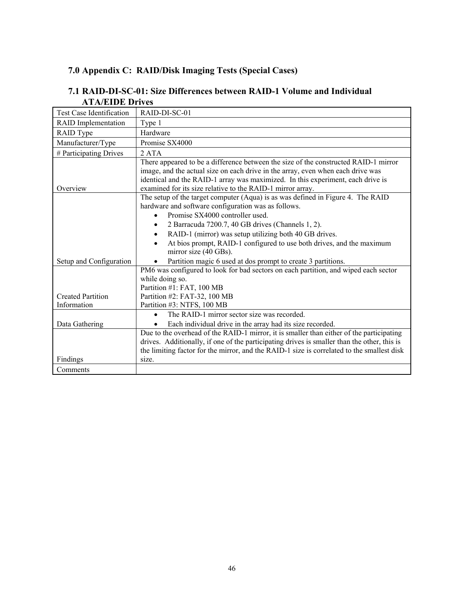#### **7.0 Appendix C: RAID/Disk Imaging Tests (Special Cases)**

| Test Case Identification   | RAID-DI-SC-01                                                                                                                                                                                                                                                                                                           |
|----------------------------|-------------------------------------------------------------------------------------------------------------------------------------------------------------------------------------------------------------------------------------------------------------------------------------------------------------------------|
| <b>RAID</b> Implementation | Type 1                                                                                                                                                                                                                                                                                                                  |
| RAID Type                  | Hardware                                                                                                                                                                                                                                                                                                                |
| Manufacturer/Type          | Promise SX4000                                                                                                                                                                                                                                                                                                          |
| # Participating Drives     | 2 ATA                                                                                                                                                                                                                                                                                                                   |
| Overview                   | There appeared to be a difference between the size of the constructed RAID-1 mirror<br>image, and the actual size on each drive in the array, even when each drive was<br>identical and the RAID-1 array was maximized. In this experiment, each drive is<br>examined for its size relative to the RAID-1 mirror array. |
|                            | The setup of the target computer (Aqua) is as was defined in Figure 4. The RAID<br>hardware and software configuration was as follows.<br>Promise SX4000 controller used.<br>2 Barracuda 7200.7, 40 GB drives (Channels 1, 2).<br>$\bullet$<br>RAID-1 (mirror) was setup utilizing both 40 GB drives.<br>$\bullet$      |
|                            | At bios prompt, RAID-1 configured to use both drives, and the maximum<br>$\bullet$<br>mirror size (40 GBs).                                                                                                                                                                                                             |
| Setup and Configuration    | Partition magic 6 used at dos prompt to create 3 partitions.<br>PM6 was configured to look for bad sectors on each partition, and wiped each sector                                                                                                                                                                     |
| <b>Created Partition</b>   | while doing so.<br>Partition #1: FAT, 100 MB<br>Partition #2: FAT-32, 100 MB                                                                                                                                                                                                                                            |
| Information                | Partition #3: NTFS, 100 MB                                                                                                                                                                                                                                                                                              |
| Data Gathering             | The RAID-1 mirror sector size was recorded.<br>$\bullet$<br>Each individual drive in the array had its size recorded.                                                                                                                                                                                                   |
| Findings                   | Due to the overhead of the RAID-1 mirror, it is smaller than either of the participating<br>drives. Additionally, if one of the participating drives is smaller than the other, this is<br>the limiting factor for the mirror, and the RAID-1 size is correlated to the smallest disk<br>size.                          |
| Comments                   |                                                                                                                                                                                                                                                                                                                         |

#### **7.1 RAID-DI-SC-01: Size Differences between RAID-1 Volume and Individual ATA/EIDE Drives**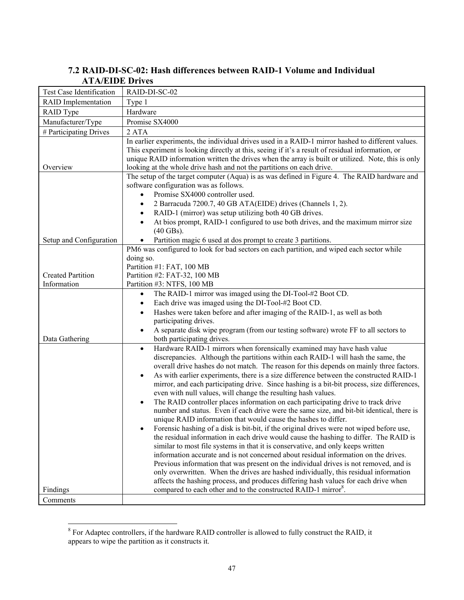| ліленде рікв                            |                                                                                                                                                                                                                                                                                                                                                                                                                                                                                                                                                                                                                                                                                                                                                                                                                                                                                                                                                                                                                                                                                                                                                                                                                                                                                                                                                                                                                                                                                                                                  |
|-----------------------------------------|----------------------------------------------------------------------------------------------------------------------------------------------------------------------------------------------------------------------------------------------------------------------------------------------------------------------------------------------------------------------------------------------------------------------------------------------------------------------------------------------------------------------------------------------------------------------------------------------------------------------------------------------------------------------------------------------------------------------------------------------------------------------------------------------------------------------------------------------------------------------------------------------------------------------------------------------------------------------------------------------------------------------------------------------------------------------------------------------------------------------------------------------------------------------------------------------------------------------------------------------------------------------------------------------------------------------------------------------------------------------------------------------------------------------------------------------------------------------------------------------------------------------------------|
| <b>Test Case Identification</b>         | RAID-DI-SC-02                                                                                                                                                                                                                                                                                                                                                                                                                                                                                                                                                                                                                                                                                                                                                                                                                                                                                                                                                                                                                                                                                                                                                                                                                                                                                                                                                                                                                                                                                                                    |
| <b>RAID</b> Implementation              | Type 1                                                                                                                                                                                                                                                                                                                                                                                                                                                                                                                                                                                                                                                                                                                                                                                                                                                                                                                                                                                                                                                                                                                                                                                                                                                                                                                                                                                                                                                                                                                           |
| <b>RAID</b> Type                        | Hardware                                                                                                                                                                                                                                                                                                                                                                                                                                                                                                                                                                                                                                                                                                                                                                                                                                                                                                                                                                                                                                                                                                                                                                                                                                                                                                                                                                                                                                                                                                                         |
| Manufacturer/Type                       | Promise SX4000                                                                                                                                                                                                                                                                                                                                                                                                                                                                                                                                                                                                                                                                                                                                                                                                                                                                                                                                                                                                                                                                                                                                                                                                                                                                                                                                                                                                                                                                                                                   |
| # Participating Drives                  | 2 ATA                                                                                                                                                                                                                                                                                                                                                                                                                                                                                                                                                                                                                                                                                                                                                                                                                                                                                                                                                                                                                                                                                                                                                                                                                                                                                                                                                                                                                                                                                                                            |
| Overview                                | In earlier experiments, the individual drives used in a RAID-1 mirror hashed to different values.<br>This experiment is looking directly at this, seeing if it's a result of residual information, or<br>unique RAID information written the drives when the array is built or utilized. Note, this is only<br>looking at the whole drive hash and not the partitions on each drive.                                                                                                                                                                                                                                                                                                                                                                                                                                                                                                                                                                                                                                                                                                                                                                                                                                                                                                                                                                                                                                                                                                                                             |
|                                         | The setup of the target computer (Aqua) is as was defined in Figure 4. The RAID hardware and<br>software configuration was as follows.<br>Promise SX4000 controller used.<br>$\bullet$<br>2 Barracuda 7200.7, 40 GB ATA(EIDE) drives (Channels 1, 2).<br>$\bullet$<br>RAID-1 (mirror) was setup utilizing both 40 GB drives.<br>$\bullet$<br>At bios prompt, RAID-1 configured to use both drives, and the maximum mirror size<br>$(40$ GBs).                                                                                                                                                                                                                                                                                                                                                                                                                                                                                                                                                                                                                                                                                                                                                                                                                                                                                                                                                                                                                                                                                    |
| Setup and Configuration                 | Partition magic 6 used at dos prompt to create 3 partitions.                                                                                                                                                                                                                                                                                                                                                                                                                                                                                                                                                                                                                                                                                                                                                                                                                                                                                                                                                                                                                                                                                                                                                                                                                                                                                                                                                                                                                                                                     |
| <b>Created Partition</b><br>Information | PM6 was configured to look for bad sectors on each partition, and wiped each sector while<br>doing so.<br>Partition #1: FAT, 100 MB<br>Partition #2: FAT-32, 100 MB<br>Partition #3: NTFS, 100 MB                                                                                                                                                                                                                                                                                                                                                                                                                                                                                                                                                                                                                                                                                                                                                                                                                                                                                                                                                                                                                                                                                                                                                                                                                                                                                                                                |
|                                         | The RAID-1 mirror was imaged using the DI-Tool-#2 Boot CD.<br>$\bullet$                                                                                                                                                                                                                                                                                                                                                                                                                                                                                                                                                                                                                                                                                                                                                                                                                                                                                                                                                                                                                                                                                                                                                                                                                                                                                                                                                                                                                                                          |
| Data Gathering                          | Each drive was imaged using the DI-Tool-#2 Boot CD.<br>$\bullet$<br>Hashes were taken before and after imaging of the RAID-1, as well as both<br>$\bullet$<br>participating drives.<br>A separate disk wipe program (from our testing software) wrote FF to all sectors to<br>$\bullet$<br>both participating drives.                                                                                                                                                                                                                                                                                                                                                                                                                                                                                                                                                                                                                                                                                                                                                                                                                                                                                                                                                                                                                                                                                                                                                                                                            |
| Findings                                | Hardware RAID-1 mirrors when forensically examined may have hash value<br>$\bullet$<br>discrepancies. Although the partitions within each RAID-1 will hash the same, the<br>overall drive hashes do not match. The reason for this depends on mainly three factors.<br>As with earlier experiments, there is a size difference between the constructed RAID-1<br>$\bullet$<br>mirror, and each participating drive. Since hashing is a bit-bit process, size differences,<br>even with null values, will change the resulting hash values.<br>The RAID controller places information on each participating drive to track drive<br>$\bullet$<br>number and status. Even if each drive were the same size, and bit-bit identical, there is<br>unique RAID information that would cause the hashes to differ.<br>Forensic hashing of a disk is bit-bit, if the original drives were not wiped before use,<br>the residual information in each drive would cause the hashing to differ. The RAID is<br>similar to most file systems in that it is conservative, and only keeps written<br>information accurate and is not concerned about residual information on the drives.<br>Previous information that was present on the individual drives is not removed, and is<br>only overwritten. When the drives are hashed individually, this residual information<br>affects the hashing process, and produces differing hash values for each drive when<br>compared to each other and to the constructed RAID-1 mirror <sup>8</sup> . |
| Comments                                |                                                                                                                                                                                                                                                                                                                                                                                                                                                                                                                                                                                                                                                                                                                                                                                                                                                                                                                                                                                                                                                                                                                                                                                                                                                                                                                                                                                                                                                                                                                                  |
|                                         |                                                                                                                                                                                                                                                                                                                                                                                                                                                                                                                                                                                                                                                                                                                                                                                                                                                                                                                                                                                                                                                                                                                                                                                                                                                                                                                                                                                                                                                                                                                                  |

#### **7.2 RAID-DI-SC-02: Hash differences between RAID-1 Volume and Individual ATA/EIDE Drives**

<sup>&</sup>lt;sup>8</sup> For Adaptec controllers, if the hardware RAID controller is allowed to fully construct the RAID, it appears to wipe the partition as it constructs it.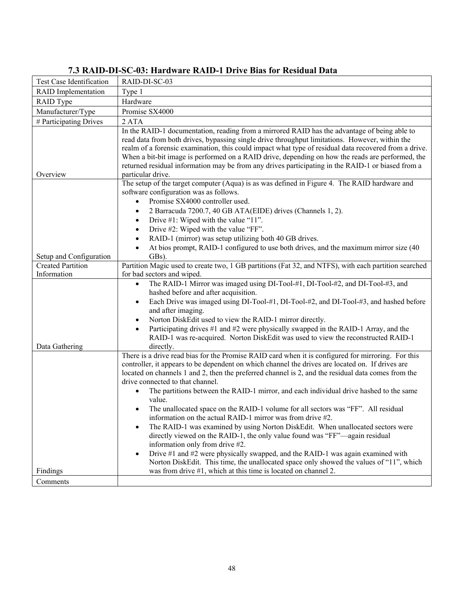| <b>Test Case Identification</b>         | RAID-DI-SC-03                                                                                                                                                                                                                                                                                                                                                                                                                                                                                                                                                                                                                                                                                                                                                                                                                                                                                                                                                                                                                     |
|-----------------------------------------|-----------------------------------------------------------------------------------------------------------------------------------------------------------------------------------------------------------------------------------------------------------------------------------------------------------------------------------------------------------------------------------------------------------------------------------------------------------------------------------------------------------------------------------------------------------------------------------------------------------------------------------------------------------------------------------------------------------------------------------------------------------------------------------------------------------------------------------------------------------------------------------------------------------------------------------------------------------------------------------------------------------------------------------|
| <b>RAID</b> Implementation              | Type 1                                                                                                                                                                                                                                                                                                                                                                                                                                                                                                                                                                                                                                                                                                                                                                                                                                                                                                                                                                                                                            |
| <b>RAID</b> Type                        | Hardware                                                                                                                                                                                                                                                                                                                                                                                                                                                                                                                                                                                                                                                                                                                                                                                                                                                                                                                                                                                                                          |
| Manufacturer/Type                       | Promise SX4000                                                                                                                                                                                                                                                                                                                                                                                                                                                                                                                                                                                                                                                                                                                                                                                                                                                                                                                                                                                                                    |
| # Participating Drives                  | 2 ATA                                                                                                                                                                                                                                                                                                                                                                                                                                                                                                                                                                                                                                                                                                                                                                                                                                                                                                                                                                                                                             |
|                                         | In the RAID-1 documentation, reading from a mirrored RAID has the advantage of being able to<br>read data from both drives, bypassing single drive throughput limitations. However, within the<br>realm of a forensic examination, this could impact what type of residual data recovered from a drive.<br>When a bit-bit image is performed on a RAID drive, depending on how the reads are performed, the<br>returned residual information may be from any drives participating in the RAID-1 or biased from a                                                                                                                                                                                                                                                                                                                                                                                                                                                                                                                  |
| Overview                                | particular drive.                                                                                                                                                                                                                                                                                                                                                                                                                                                                                                                                                                                                                                                                                                                                                                                                                                                                                                                                                                                                                 |
|                                         | The setup of the target computer (Aqua) is as was defined in Figure 4. The RAID hardware and<br>software configuration was as follows.<br>Promise SX4000 controller used.<br>$\bullet$<br>2 Barracuda 7200.7, 40 GB ATA(EIDE) drives (Channels 1, 2).<br>$\bullet$<br>Drive #1: Wiped with the value "11".<br>$\bullet$<br>Drive #2: Wiped with the value "FF".<br>$\bullet$<br>RAID-1 (mirror) was setup utilizing both 40 GB drives.<br>$\bullet$                                                                                                                                                                                                                                                                                                                                                                                                                                                                                                                                                                               |
|                                         | At bios prompt, RAID-1 configured to use both drives, and the maximum mirror size (40)<br>$\bullet$                                                                                                                                                                                                                                                                                                                                                                                                                                                                                                                                                                                                                                                                                                                                                                                                                                                                                                                               |
| Setup and Configuration                 | GBs).                                                                                                                                                                                                                                                                                                                                                                                                                                                                                                                                                                                                                                                                                                                                                                                                                                                                                                                                                                                                                             |
| <b>Created Partition</b><br>Information | Partition Magic used to create two, 1 GB partitions (Fat 32, and NTFS), with each partition searched<br>for bad sectors and wiped.                                                                                                                                                                                                                                                                                                                                                                                                                                                                                                                                                                                                                                                                                                                                                                                                                                                                                                |
| Data Gathering                          | The RAID-1 Mirror was imaged using DI-Tool-#1, DI-Tool-#2, and DI-Tool-#3, and<br>$\bullet$<br>hashed before and after acquisition.<br>Each Drive was imaged using DI-Tool-#1, DI-Tool-#2, and DI-Tool-#3, and hashed before<br>$\bullet$<br>and after imaging.<br>Norton DiskEdit used to view the RAID-1 mirror directly.<br>$\bullet$<br>Participating drives #1 and #2 were physically swapped in the RAID-1 Array, and the<br>$\bullet$<br>RAID-1 was re-acquired. Norton DiskEdit was used to view the reconstructed RAID-1<br>directly.                                                                                                                                                                                                                                                                                                                                                                                                                                                                                    |
|                                         | There is a drive read bias for the Promise RAID card when it is configured for mirroring. For this<br>controller, it appears to be dependent on which channel the drives are located on. If drives are<br>located on channels 1 and 2, then the preferred channel is 2, and the residual data comes from the<br>drive connected to that channel.<br>The partitions between the RAID-1 mirror, and each individual drive hashed to the same<br>value.<br>The unallocated space on the RAID-1 volume for all sectors was "FF". All residual<br>$\bullet$<br>information on the actual RAID-1 mirror was from drive #2.<br>The RAID-1 was examined by using Norton DiskEdit. When unallocated sectors were<br>$\bullet$<br>directly viewed on the RAID-1, the only value found was "FF"—again residual<br>information only from drive #2.<br>Drive #1 and #2 were physically swapped, and the RAID-1 was again examined with<br>$\bullet$<br>Norton DiskEdit. This time, the unallocated space only showed the values of "11", which |
| Findings                                | was from drive #1, which at this time is located on channel 2.                                                                                                                                                                                                                                                                                                                                                                                                                                                                                                                                                                                                                                                                                                                                                                                                                                                                                                                                                                    |
| Comments                                |                                                                                                                                                                                                                                                                                                                                                                                                                                                                                                                                                                                                                                                                                                                                                                                                                                                                                                                                                                                                                                   |

## **7.3 RAID-DI-SC-03: Hardware RAID-1 Drive Bias for Residual Data**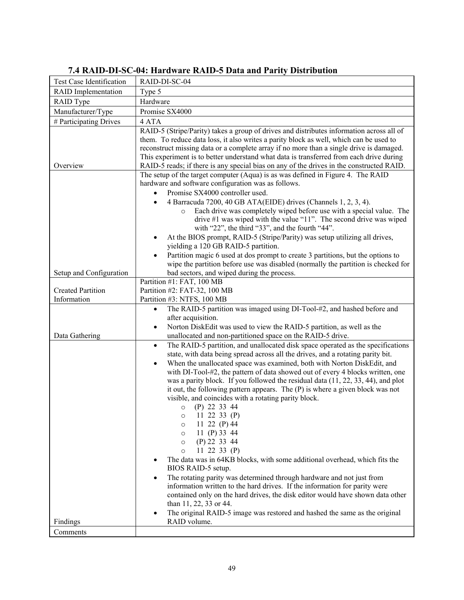| Test Case Identification   | RAID-DI-SC-04                                                                                                                                                               |
|----------------------------|-----------------------------------------------------------------------------------------------------------------------------------------------------------------------------|
| <b>RAID</b> Implementation | Type 5                                                                                                                                                                      |
| RAID Type                  | Hardware                                                                                                                                                                    |
| Manufacturer/Type          | Promise SX4000                                                                                                                                                              |
| # Participating Drives     | 4 ATA                                                                                                                                                                       |
|                            | RAID-5 (Stripe/Parity) takes a group of drives and distributes information across all of                                                                                    |
|                            | them. To reduce data loss, it also writes a parity block as well, which can be used to                                                                                      |
|                            | reconstruct missing data or a complete array if no more than a single drive is damaged.                                                                                     |
|                            | This experiment is to better understand what data is transferred from each drive during                                                                                     |
| Overview                   | RAID-5 reads; if there is any special bias on any of the drives in the constructed RAID.<br>The setup of the target computer (Aqua) is as was defined in Figure 4. The RAID |
|                            | hardware and software configuration was as follows.                                                                                                                         |
|                            | Promise SX4000 controller used.                                                                                                                                             |
|                            | 4 Barracuda 7200, 40 GB ATA(EIDE) drives (Channels 1, 2, 3, 4).<br>$\bullet$                                                                                                |
|                            | Each drive was completely wiped before use with a special value. The<br>$\circ$                                                                                             |
|                            | drive $#1$ was wiped with the value "11". The second drive was wiped                                                                                                        |
|                            | with "22", the third "33", and the fourth "44".                                                                                                                             |
|                            | At the BIOS prompt, RAID-5 (Stripe/Parity) was setup utilizing all drives,                                                                                                  |
|                            | yielding a 120 GB RAID-5 partition.                                                                                                                                         |
|                            | Partition magic 6 used at dos prompt to create 3 partitions, but the options to<br>$\bullet$                                                                                |
|                            | wipe the partition before use was disabled (normally the partition is checked for                                                                                           |
| Setup and Configuration    | bad sectors, and wiped during the process.                                                                                                                                  |
| <b>Created Partition</b>   | Partition #1: FAT, 100 MB<br>Partition #2: FAT-32, 100 MB                                                                                                                   |
| Information                | Partition #3: NTFS, 100 MB                                                                                                                                                  |
|                            | The RAID-5 partition was imaged using DI-Tool-#2, and hashed before and<br>$\bullet$                                                                                        |
|                            | after acquisition.                                                                                                                                                          |
|                            | Norton DiskEdit was used to view the RAID-5 partition, as well as the<br>$\bullet$                                                                                          |
| Data Gathering             | unallocated and non-partitioned space on the RAID-5 drive.                                                                                                                  |
|                            | The RAID-5 partition, and unallocated disk space operated as the specifications<br>$\bullet$                                                                                |
|                            | state, with data being spread across all the drives, and a rotating parity bit.                                                                                             |
|                            | When the unallocated space was examined, both with Norton DiskEdit, and<br>$\bullet$                                                                                        |
|                            | with DI-Tool-#2, the pattern of data showed out of every 4 blocks written, one                                                                                              |
|                            | was a parity block. If you followed the residual data $(11, 22, 33, 44)$ , and plot                                                                                         |
|                            | it out, the following pattern appears. The (P) is where a given block was not<br>visible, and coincides with a rotating parity block.                                       |
|                            | $(P)$ 22 33 44<br>$\circ$                                                                                                                                                   |
|                            | $0$ 11 22 33 (P)                                                                                                                                                            |
|                            | 11 22 (P) 44<br>O                                                                                                                                                           |
|                            | 11 (P) 33 44<br>$\circ$                                                                                                                                                     |
|                            | $(P)$ 22 33 44<br>$\circ$                                                                                                                                                   |
|                            | 11 22 33 $(P)$<br>$\Omega$                                                                                                                                                  |
|                            | The data was in 64KB blocks, with some additional overhead, which fits the                                                                                                  |
|                            | BIOS RAID-5 setup.                                                                                                                                                          |
|                            | The rotating parity was determined through hardware and not just from                                                                                                       |
|                            | information written to the hard drives. If the information for parity were<br>contained only on the hard drives, the disk editor would have shown data other                |
|                            | than 11, 22, 33 or 44.                                                                                                                                                      |
|                            | The original RAID-5 image was restored and hashed the same as the original                                                                                                  |
| Findings                   | RAID volume.                                                                                                                                                                |
| Comments                   |                                                                                                                                                                             |

## **7.4 RAID-DI-SC-04: Hardware RAID-5 Data and Parity Distribution**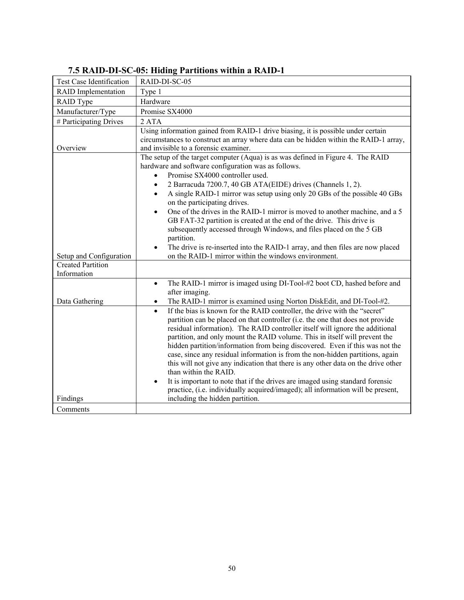| Test Case Identification                | RAID-DI-SC-05                                                                                                                                                                                                                                                                                                                                                                                                                                                                                                                                                                                                                                                                                                                                                                                          |
|-----------------------------------------|--------------------------------------------------------------------------------------------------------------------------------------------------------------------------------------------------------------------------------------------------------------------------------------------------------------------------------------------------------------------------------------------------------------------------------------------------------------------------------------------------------------------------------------------------------------------------------------------------------------------------------------------------------------------------------------------------------------------------------------------------------------------------------------------------------|
| <b>RAID</b> Implementation              | Type 1                                                                                                                                                                                                                                                                                                                                                                                                                                                                                                                                                                                                                                                                                                                                                                                                 |
| RAID Type                               | Hardware                                                                                                                                                                                                                                                                                                                                                                                                                                                                                                                                                                                                                                                                                                                                                                                               |
| Manufacturer/Type                       | Promise SX4000                                                                                                                                                                                                                                                                                                                                                                                                                                                                                                                                                                                                                                                                                                                                                                                         |
| # Participating Drives                  | 2 ATA                                                                                                                                                                                                                                                                                                                                                                                                                                                                                                                                                                                                                                                                                                                                                                                                  |
| Overview                                | Using information gained from RAID-1 drive biasing, it is possible under certain<br>circumstances to construct an array where data can be hidden within the RAID-1 array,<br>and invisible to a forensic examiner.                                                                                                                                                                                                                                                                                                                                                                                                                                                                                                                                                                                     |
|                                         | The setup of the target computer (Aqua) is as was defined in Figure 4. The RAID<br>hardware and software configuration was as follows.<br>Promise SX4000 controller used.<br>$\bullet$<br>2 Barracuda 7200.7, 40 GB ATA(EIDE) drives (Channels 1, 2).<br>$\bullet$<br>A single RAID-1 mirror was setup using only 20 GBs of the possible 40 GBs<br>$\bullet$<br>on the participating drives.<br>One of the drives in the RAID-1 mirror is moved to another machine, and a 5<br>$\bullet$<br>GB FAT-32 partition is created at the end of the drive. This drive is<br>subsequently accessed through Windows, and files placed on the 5 GB<br>partition.<br>The drive is re-inserted into the RAID-1 array, and then files are now placed<br>$\bullet$                                                   |
| Setup and Configuration                 | on the RAID-1 mirror within the windows environment.                                                                                                                                                                                                                                                                                                                                                                                                                                                                                                                                                                                                                                                                                                                                                   |
| <b>Created Partition</b><br>Information |                                                                                                                                                                                                                                                                                                                                                                                                                                                                                                                                                                                                                                                                                                                                                                                                        |
| Data Gathering                          | The RAID-1 mirror is imaged using DI-Tool-#2 boot CD, hashed before and<br>$\bullet$<br>after imaging.<br>The RAID-1 mirror is examined using Norton DiskEdit, and DI-Tool-#2.<br>$\bullet$                                                                                                                                                                                                                                                                                                                                                                                                                                                                                                                                                                                                            |
|                                         | If the bias is known for the RAID controller, the drive with the "secret"<br>$\bullet$<br>partition can be placed on that controller (i.e. the one that does not provide<br>residual information). The RAID controller itself will ignore the additional<br>partition, and only mount the RAID volume. This in itself will prevent the<br>hidden partition/information from being discovered. Even if this was not the<br>case, since any residual information is from the non-hidden partitions, again<br>this will not give any indication that there is any other data on the drive other<br>than within the RAID.<br>It is important to note that if the drives are imaged using standard forensic<br>$\bullet$<br>practice, (i.e. individually acquired/imaged); all information will be present, |
| Findings                                | including the hidden partition.                                                                                                                                                                                                                                                                                                                                                                                                                                                                                                                                                                                                                                                                                                                                                                        |
| Comments                                |                                                                                                                                                                                                                                                                                                                                                                                                                                                                                                                                                                                                                                                                                                                                                                                                        |

## **7.5 RAID-DI-SC-05: Hiding Partitions within a RAID-1**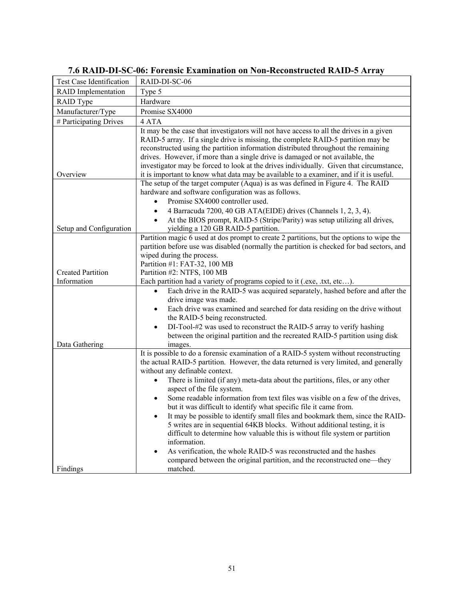| <b>Test Case Identification</b> | RAID-DI-SC-06                                                                                                                                                                                                                                                                                                                                                                                                                                                                                                                                                                                                                                                                               |
|---------------------------------|---------------------------------------------------------------------------------------------------------------------------------------------------------------------------------------------------------------------------------------------------------------------------------------------------------------------------------------------------------------------------------------------------------------------------------------------------------------------------------------------------------------------------------------------------------------------------------------------------------------------------------------------------------------------------------------------|
| <b>RAID</b> Implementation      | Type 5                                                                                                                                                                                                                                                                                                                                                                                                                                                                                                                                                                                                                                                                                      |
| RAID Type                       | Hardware                                                                                                                                                                                                                                                                                                                                                                                                                                                                                                                                                                                                                                                                                    |
| Manufacturer/Type               | Promise SX4000                                                                                                                                                                                                                                                                                                                                                                                                                                                                                                                                                                                                                                                                              |
| # Participating Drives          | 4 ATA                                                                                                                                                                                                                                                                                                                                                                                                                                                                                                                                                                                                                                                                                       |
| Overview                        | It may be the case that investigators will not have access to all the drives in a given<br>RAID-5 array. If a single drive is missing, the complete RAID-5 partition may be<br>reconstructed using the partition information distributed throughout the remaining<br>drives. However, if more than a single drive is damaged or not available, the<br>investigator may be forced to look at the drives individually. Given that circumstance,<br>it is important to know what data may be available to a examiner, and if it is useful.                                                                                                                                                     |
|                                 | The setup of the target computer (Aqua) is as was defined in Figure 4. The RAID                                                                                                                                                                                                                                                                                                                                                                                                                                                                                                                                                                                                             |
|                                 | hardware and software configuration was as follows.                                                                                                                                                                                                                                                                                                                                                                                                                                                                                                                                                                                                                                         |
|                                 | Promise SX4000 controller used.<br>$\bullet$                                                                                                                                                                                                                                                                                                                                                                                                                                                                                                                                                                                                                                                |
|                                 | 4 Barracuda 7200, 40 GB ATA(EIDE) drives (Channels 1, 2, 3, 4).<br>$\bullet$                                                                                                                                                                                                                                                                                                                                                                                                                                                                                                                                                                                                                |
|                                 | At the BIOS prompt, RAID-5 (Stripe/Parity) was setup utilizing all drives,<br>$\bullet$                                                                                                                                                                                                                                                                                                                                                                                                                                                                                                                                                                                                     |
| Setup and Configuration         | yielding a 120 GB RAID-5 partition.                                                                                                                                                                                                                                                                                                                                                                                                                                                                                                                                                                                                                                                         |
| <b>Created Partition</b>        | Partition magic 6 used at dos prompt to create 2 partitions, but the options to wipe the<br>partition before use was disabled (normally the partition is checked for bad sectors, and<br>wiped during the process.<br>Partition #1: FAT-32, 100 MB<br>Partition #2: NTFS, 100 MB                                                                                                                                                                                                                                                                                                                                                                                                            |
| Information                     | Each partition had a variety of programs copied to it (.exe, .txt, etc).                                                                                                                                                                                                                                                                                                                                                                                                                                                                                                                                                                                                                    |
| Data Gathering                  | Each drive in the RAID-5 was acquired separately, hashed before and after the<br>$\bullet$<br>drive image was made.<br>Each drive was examined and searched for data residing on the drive without<br>$\bullet$<br>the RAID-5 being reconstructed.<br>DI-Tool-#2 was used to reconstruct the RAID-5 array to verify hashing<br>between the original partition and the recreated RAID-5 partition using disk<br>images.                                                                                                                                                                                                                                                                      |
|                                 | It is possible to do a forensic examination of a RAID-5 system without reconstructing<br>the actual RAID-5 partition. However, the data returned is very limited, and generally<br>without any definable context.<br>There is limited (if any) meta-data about the partitions, files, or any other<br>$\bullet$<br>aspect of the file system.<br>Some readable information from text files was visible on a few of the drives,<br>$\bullet$<br>but it was difficult to identify what specific file it came from.<br>It may be possible to identify small files and bookmark them, since the RAID-<br>$\bullet$<br>5 writes are in sequential 64KB blocks. Without additional testing, it is |
| Findings                        | difficult to determine how valuable this is without file system or partition<br>information.<br>As verification, the whole RAID-5 was reconstructed and the hashes<br>$\bullet$<br>compared between the original partition, and the reconstructed one—they<br>matched.                                                                                                                                                                                                                                                                                                                                                                                                                      |

## **7.6 RAID-DI-SC-06: Forensic Examination on Non-Reconstructed RAID-5 Array**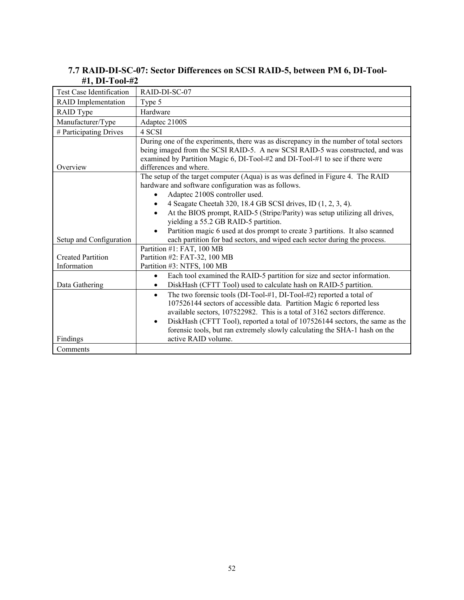#### **7.7 RAID-DI-SC-07: Sector Differences on SCSI RAID-5, between PM 6, DI-Tool- #1, DI-Tool-#2**

| Test Case Identification   | RAID-DI-SC-07                                                                                                                                                                                                                                                                                                                                                                                                                            |
|----------------------------|------------------------------------------------------------------------------------------------------------------------------------------------------------------------------------------------------------------------------------------------------------------------------------------------------------------------------------------------------------------------------------------------------------------------------------------|
| <b>RAID</b> Implementation | Type 5                                                                                                                                                                                                                                                                                                                                                                                                                                   |
| RAID Type                  | Hardware                                                                                                                                                                                                                                                                                                                                                                                                                                 |
| Manufacturer/Type          | Adaptec 2100S                                                                                                                                                                                                                                                                                                                                                                                                                            |
| # Participating Drives     | 4 SCSI                                                                                                                                                                                                                                                                                                                                                                                                                                   |
| Overview                   | During one of the experiments, there was as discrepancy in the number of total sectors<br>being imaged from the SCSI RAID-5. A new SCSI RAID-5 was constructed, and was<br>examined by Partition Magic 6, DI-Tool-#2 and DI-Tool-#1 to see if there were<br>differences and where.                                                                                                                                                       |
|                            | The setup of the target computer (Aqua) is as was defined in Figure 4. The RAID<br>hardware and software configuration was as follows.<br>Adaptec 2100S controller used.<br>4 Seagate Cheetah 320, 18.4 GB SCSI drives, ID (1, 2, 3, 4).                                                                                                                                                                                                 |
|                            | At the BIOS prompt, RAID-5 (Stripe/Parity) was setup utilizing all drives,<br>yielding a 55.2 GB RAID-5 partition.                                                                                                                                                                                                                                                                                                                       |
| Setup and Configuration    | Partition magic 6 used at dos prompt to create 3 partitions. It also scanned<br>each partition for bad sectors, and wiped each sector during the process.                                                                                                                                                                                                                                                                                |
|                            | Partition #1: FAT, 100 MB                                                                                                                                                                                                                                                                                                                                                                                                                |
| <b>Created Partition</b>   | Partition #2: FAT-32, 100 MB                                                                                                                                                                                                                                                                                                                                                                                                             |
| Information                | Partition #3: NTFS, 100 MB                                                                                                                                                                                                                                                                                                                                                                                                               |
| Data Gathering             | Each tool examined the RAID-5 partition for size and sector information.<br>$\bullet$<br>DiskHash (CFTT Tool) used to calculate hash on RAID-5 partition.<br>$\bullet$                                                                                                                                                                                                                                                                   |
| Findings                   | The two forensic tools (DI-Tool-#1, DI-Tool-#2) reported a total of<br>$\bullet$<br>107526144 sectors of accessible data. Partition Magic 6 reported less<br>available sectors, 107522982. This is a total of 3162 sectors difference.<br>DiskHash (CFTT Tool), reported a total of 107526144 sectors, the same as the<br>$\bullet$<br>forensic tools, but ran extremely slowly calculating the SHA-1 hash on the<br>active RAID volume. |
| Comments                   |                                                                                                                                                                                                                                                                                                                                                                                                                                          |
|                            |                                                                                                                                                                                                                                                                                                                                                                                                                                          |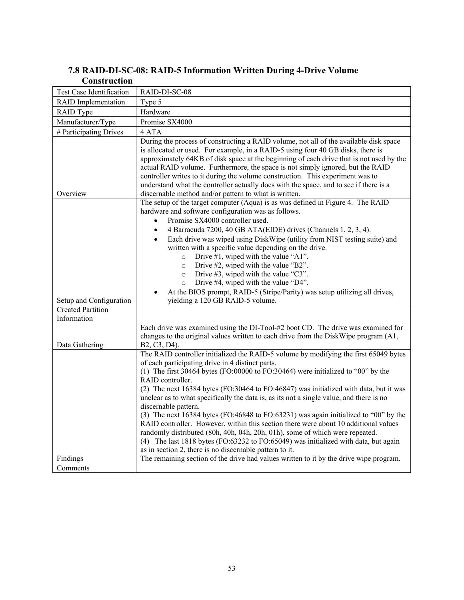| 7.8 RAID-DI-SC-08: RAID-5 Information Written During 4-Drive Volume |  |  |  |
|---------------------------------------------------------------------|--|--|--|
| <b>Construction</b>                                                 |  |  |  |

| Test Case Identification                | RAID-DI-SC-08                                                                                                                                                                                                                                                                                                                                                                                                                                                                                                                                                                                                                                                                                                          |
|-----------------------------------------|------------------------------------------------------------------------------------------------------------------------------------------------------------------------------------------------------------------------------------------------------------------------------------------------------------------------------------------------------------------------------------------------------------------------------------------------------------------------------------------------------------------------------------------------------------------------------------------------------------------------------------------------------------------------------------------------------------------------|
| <b>RAID</b> Implementation              | Type 5                                                                                                                                                                                                                                                                                                                                                                                                                                                                                                                                                                                                                                                                                                                 |
| RAID Type                               | Hardware                                                                                                                                                                                                                                                                                                                                                                                                                                                                                                                                                                                                                                                                                                               |
| Manufacturer/Type                       | Promise SX4000                                                                                                                                                                                                                                                                                                                                                                                                                                                                                                                                                                                                                                                                                                         |
| # Participating Drives                  | 4 ATA                                                                                                                                                                                                                                                                                                                                                                                                                                                                                                                                                                                                                                                                                                                  |
| Overview                                | During the process of constructing a RAID volume, not all of the available disk space<br>is allocated or used. For example, in a RAID-5 using four 40 GB disks, there is<br>approximately 64KB of disk space at the beginning of each drive that is not used by the<br>actual RAID volume. Furthermore, the space is not simply ignored, but the RAID<br>controller writes to it during the volume construction. This experiment was to<br>understand what the controller actually does with the space, and to see if there is a<br>discernable method and/or pattern to what is written.                                                                                                                              |
|                                         | The setup of the target computer (Aqua) is as was defined in Figure 4. The RAID<br>hardware and software configuration was as follows.<br>Promise SX4000 controller used.<br>$\bullet$<br>4 Barracuda 7200, 40 GB ATA(EIDE) drives (Channels 1, 2, 3, 4).<br>$\bullet$<br>Each drive was wiped using DiskWipe (utility from NIST testing suite) and<br>$\bullet$<br>written with a specific value depending on the drive.<br>Drive #1, wiped with the value "A1".<br>$\circ$<br>Drive #2, wiped with the value "B2".<br>$\circ$<br>Drive $#3$ , wiped with the value "C3".<br>$\circ$<br>Drive #4, wiped with the value "D4".<br>$\circ$<br>At the BIOS prompt, RAID-5 (Stripe/Parity) was setup utilizing all drives, |
| Setup and Configuration                 | yielding a 120 GB RAID-5 volume.                                                                                                                                                                                                                                                                                                                                                                                                                                                                                                                                                                                                                                                                                       |
| <b>Created Partition</b><br>Information |                                                                                                                                                                                                                                                                                                                                                                                                                                                                                                                                                                                                                                                                                                                        |
| Data Gathering                          | Each drive was examined using the DI-Tool-#2 boot CD. The drive was examined for<br>changes to the original values written to each drive from the DiskWipe program (A1,<br>B2, C3, D4).<br>The RAID controller initialized the RAID-5 volume by modifying the first 65049 bytes<br>of each participating drive in 4 distinct parts.<br>(1) The first 30464 bytes (FO:00000 to FO:30464) were initialized to "00" by the<br>RAID controller.<br>(2) The next 16384 bytes (FO:30464 to FO:46847) was initialized with data, but it was                                                                                                                                                                                   |
| Findings<br>Comments                    | unclear as to what specifically the data is, as its not a single value, and there is no<br>discernable pattern.<br>(3) The next 16384 bytes (FO:46848 to FO:63231) was again initialized to "00" by the<br>RAID controller. However, within this section there were about 10 additional values<br>randomly distributed (80h, 40h, 04h, 20h, 01h), some of which were repeated.<br>(4) The last 1818 bytes (FO:63232 to FO:65049) was initialized with data, but again<br>as in section 2, there is no discernable pattern to it.<br>The remaining section of the drive had values written to it by the drive wipe program.                                                                                             |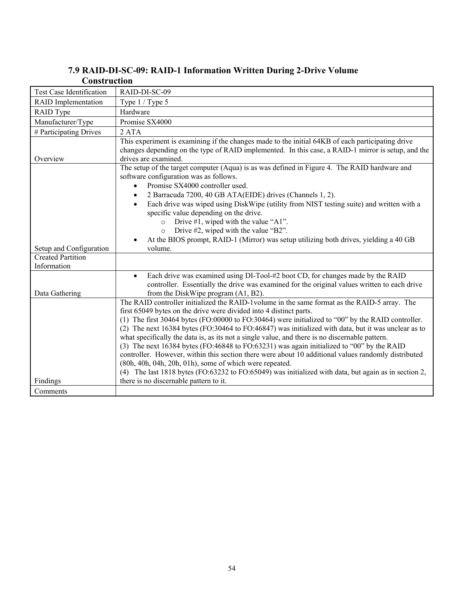| Construction                            |                                                                                                                                                                                                                                                                                                                                                                                                                                                                                                                                                                                                                                                                                                                                                                                                                                                         |
|-----------------------------------------|---------------------------------------------------------------------------------------------------------------------------------------------------------------------------------------------------------------------------------------------------------------------------------------------------------------------------------------------------------------------------------------------------------------------------------------------------------------------------------------------------------------------------------------------------------------------------------------------------------------------------------------------------------------------------------------------------------------------------------------------------------------------------------------------------------------------------------------------------------|
| <b>Test Case Identification</b>         | RAID-DI-SC-09                                                                                                                                                                                                                                                                                                                                                                                                                                                                                                                                                                                                                                                                                                                                                                                                                                           |
| <b>RAID</b> Implementation              | Type 1 / Type 5                                                                                                                                                                                                                                                                                                                                                                                                                                                                                                                                                                                                                                                                                                                                                                                                                                         |
| RAID Type                               | Hardware                                                                                                                                                                                                                                                                                                                                                                                                                                                                                                                                                                                                                                                                                                                                                                                                                                                |
| Manufacturer/Type                       | Promise SX4000                                                                                                                                                                                                                                                                                                                                                                                                                                                                                                                                                                                                                                                                                                                                                                                                                                          |
| # Participating Drives                  | 2 <sub>ATA</sub>                                                                                                                                                                                                                                                                                                                                                                                                                                                                                                                                                                                                                                                                                                                                                                                                                                        |
| Overview                                | This experiment is examining if the changes made to the initial 64KB of each participating drive<br>changes depending on the type of RAID implemented. In this case, a RAID-1 mirror is setup, and the<br>drives are examined.                                                                                                                                                                                                                                                                                                                                                                                                                                                                                                                                                                                                                          |
|                                         | The setup of the target computer (Aqua) is as was defined in Figure 4. The RAID hardware and<br>software configuration was as follows.<br>Promise SX4000 controller used.<br>$\bullet$                                                                                                                                                                                                                                                                                                                                                                                                                                                                                                                                                                                                                                                                  |
|                                         | 2 Barracuda 7200, 40 GB ATA(EIDE) drives (Channels 1, 2).<br>$\bullet$<br>Each drive was wiped using DiskWipe (utility from NIST testing suite) and written with a<br>$\bullet$<br>specific value depending on the drive.<br>Drive #1, wiped with the value "A1".<br>$\circ$<br>Drive #2, wiped with the value "B2".<br>$\circ$<br>At the BIOS prompt, RAID-1 (Mirror) was setup utilizing both drives, yielding a 40 GB                                                                                                                                                                                                                                                                                                                                                                                                                                |
| Setup and Configuration                 | volume.                                                                                                                                                                                                                                                                                                                                                                                                                                                                                                                                                                                                                                                                                                                                                                                                                                                 |
| <b>Created Partition</b><br>Information |                                                                                                                                                                                                                                                                                                                                                                                                                                                                                                                                                                                                                                                                                                                                                                                                                                                         |
| Data Gathering                          | Each drive was examined using DI-Tool-#2 boot CD, for changes made by the RAID<br>$\bullet$<br>controller. Essentially the drive was examined for the original values written to each drive<br>from the DiskWipe program (A1, B2).                                                                                                                                                                                                                                                                                                                                                                                                                                                                                                                                                                                                                      |
|                                         | The RAID controller initialized the RAID-1volume in the same format as the RAID-5 array. The<br>first 65049 bytes on the drive were divided into 4 distinct parts.<br>(1) The first 30464 bytes (FO:00000 to FO:30464) were initialized to "00" by the RAID controller.<br>(2) The next 16384 bytes (FO:30464 to FO:46847) was initialized with data, but it was unclear as to<br>what specifically the data is, as its not a single value, and there is no discernable pattern.<br>(3) The next 16384 bytes (FO:46848 to FO:63231) was again initialized to "00" by the RAID<br>controller. However, within this section there were about 10 additional values randomly distributed<br>(80h, 40h, 04h, 20h, 01h), some of which were repeated.<br>(4) The last 1818 bytes (FO:63232 to FO:65049) was initialized with data, but again as in section 2, |
| Findings                                | there is no discernable pattern to it.                                                                                                                                                                                                                                                                                                                                                                                                                                                                                                                                                                                                                                                                                                                                                                                                                  |
| Comments                                |                                                                                                                                                                                                                                                                                                                                                                                                                                                                                                                                                                                                                                                                                                                                                                                                                                                         |

## **7.9 RAID-DI-SC-09: RAID-1 Information Written During 2-Drive Volume**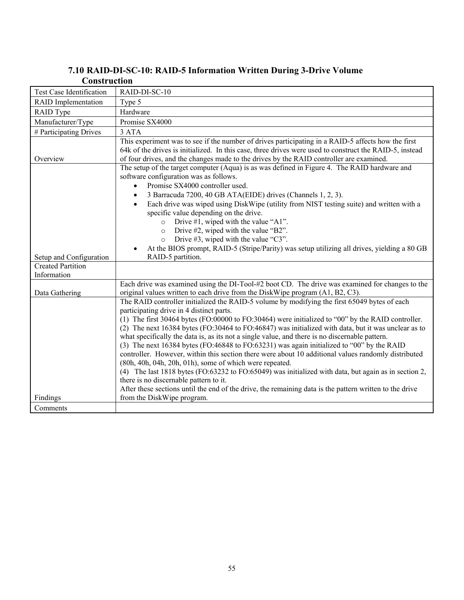| Construction                            |                                                                                                                                                                                                                                                                                                                                                                                                                                                                                                                                                                                                                                                                                                                                                                                                                                                                                                                                                                                    |
|-----------------------------------------|------------------------------------------------------------------------------------------------------------------------------------------------------------------------------------------------------------------------------------------------------------------------------------------------------------------------------------------------------------------------------------------------------------------------------------------------------------------------------------------------------------------------------------------------------------------------------------------------------------------------------------------------------------------------------------------------------------------------------------------------------------------------------------------------------------------------------------------------------------------------------------------------------------------------------------------------------------------------------------|
| <b>Test Case Identification</b>         | RAID-DI-SC-10                                                                                                                                                                                                                                                                                                                                                                                                                                                                                                                                                                                                                                                                                                                                                                                                                                                                                                                                                                      |
| <b>RAID</b> Implementation              | Type 5                                                                                                                                                                                                                                                                                                                                                                                                                                                                                                                                                                                                                                                                                                                                                                                                                                                                                                                                                                             |
| RAID Type                               | Hardware                                                                                                                                                                                                                                                                                                                                                                                                                                                                                                                                                                                                                                                                                                                                                                                                                                                                                                                                                                           |
| Manufacturer/Type                       | Promise SX4000                                                                                                                                                                                                                                                                                                                                                                                                                                                                                                                                                                                                                                                                                                                                                                                                                                                                                                                                                                     |
| # Participating Drives                  | 3 ATA                                                                                                                                                                                                                                                                                                                                                                                                                                                                                                                                                                                                                                                                                                                                                                                                                                                                                                                                                                              |
| Overview                                | This experiment was to see if the number of drives participating in a RAID-5 affects how the first<br>64k of the drives is initialized. In this case, three drives were used to construct the RAID-5, instead<br>of four drives, and the changes made to the drives by the RAID controller are examined.                                                                                                                                                                                                                                                                                                                                                                                                                                                                                                                                                                                                                                                                           |
|                                         | The setup of the target computer (Aqua) is as was defined in Figure 4. The RAID hardware and<br>software configuration was as follows.<br>Promise SX4000 controller used.<br>$\bullet$                                                                                                                                                                                                                                                                                                                                                                                                                                                                                                                                                                                                                                                                                                                                                                                             |
|                                         | 3 Barracuda 7200, 40 GB ATA(EIDE) drives (Channels 1, 2, 3).<br>$\bullet$<br>Each drive was wiped using DiskWipe (utility from NIST testing suite) and written with a<br>$\bullet$<br>specific value depending on the drive.<br>Drive $#1$ , wiped with the value "A1".<br>$\Omega$<br>Drive #2, wiped with the value "B2".<br>$\circ$<br>Drive $#3$ , wiped with the value "C3".<br>$\circ$                                                                                                                                                                                                                                                                                                                                                                                                                                                                                                                                                                                       |
| Setup and Configuration                 | At the BIOS prompt, RAID-5 (Stripe/Parity) was setup utilizing all drives, yielding a 80 GB<br>RAID-5 partition.                                                                                                                                                                                                                                                                                                                                                                                                                                                                                                                                                                                                                                                                                                                                                                                                                                                                   |
| <b>Created Partition</b><br>Information |                                                                                                                                                                                                                                                                                                                                                                                                                                                                                                                                                                                                                                                                                                                                                                                                                                                                                                                                                                                    |
| Data Gathering                          | Each drive was examined using the DI-Tool-#2 boot CD. The drive was examined for changes to the<br>original values written to each drive from the DiskWipe program (A1, B2, C3).                                                                                                                                                                                                                                                                                                                                                                                                                                                                                                                                                                                                                                                                                                                                                                                                   |
|                                         | The RAID controller initialized the RAID-5 volume by modifying the first 65049 bytes of each<br>participating drive in 4 distinct parts.<br>(1) The first 30464 bytes (FO:00000 to FO:30464) were initialized to "00" by the RAID controller.<br>(2) The next 16384 bytes (FO:30464 to FO:46847) was initialized with data, but it was unclear as to<br>what specifically the data is, as its not a single value, and there is no discernable pattern.<br>(3) The next 16384 bytes (FO:46848 to FO:63231) was again initialized to "00" by the RAID<br>controller. However, within this section there were about 10 additional values randomly distributed<br>(80h, 40h, 04h, 20h, 01h), some of which were repeated.<br>(4) The last 1818 bytes (FO:63232 to FO:65049) was initialized with data, but again as in section 2,<br>there is no discernable pattern to it.<br>After these sections until the end of the drive, the remaining data is the pattern written to the drive |
| Findings                                | from the DiskWipe program.                                                                                                                                                                                                                                                                                                                                                                                                                                                                                                                                                                                                                                                                                                                                                                                                                                                                                                                                                         |
| Comments                                |                                                                                                                                                                                                                                                                                                                                                                                                                                                                                                                                                                                                                                                                                                                                                                                                                                                                                                                                                                                    |

## **7.10 RAID-DI-SC-10: RAID-5 Information Written During 3-Drive Volume**